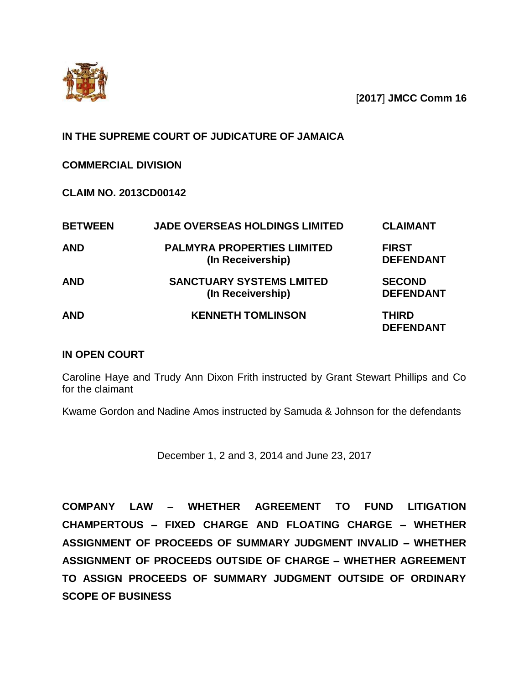

[**2017**] **JMCC Comm 16**

# **IN THE SUPREME COURT OF JUDICATURE OF JAMAICA**

## **COMMERCIAL DIVISION**

## **CLAIM NO. 2013CD00142**

| <b>BETWEEN</b> | <b>JADE OVERSEAS HOLDINGS LIMITED</b>                   | <b>CLAIMANT</b>                   |
|----------------|---------------------------------------------------------|-----------------------------------|
| <b>AND</b>     | <b>PALMYRA PROPERTIES LIIMITED</b><br>(In Receivership) | <b>FIRST</b><br><b>DEFENDANT</b>  |
| <b>AND</b>     | <b>SANCTUARY SYSTEMS LMITED</b><br>(In Receivership)    | <b>SECOND</b><br><b>DEFENDANT</b> |
| <b>AND</b>     | <b>KENNETH TOMLINSON</b>                                | THIRD<br><b>DEFENDANT</b>         |

### **IN OPEN COURT**

Caroline Haye and Trudy Ann Dixon Frith instructed by Grant Stewart Phillips and Co for the claimant

Kwame Gordon and Nadine Amos instructed by Samuda & Johnson for the defendants

December 1, 2 and 3, 2014 and June 23, 2017

**COMPANY LAW WHETHER AGREEMENT TO FUND LITIGATION CHAMPERTOUS – FIXED CHARGE AND FLOATING CHARGE – WHETHER ASSIGNMENT OF PROCEEDS OF SUMMARY JUDGMENT INVALID – WHETHER ASSIGNMENT OF PROCEEDS OUTSIDE OF CHARGE – WHETHER AGREEMENT TO ASSIGN PROCEEDS OF SUMMARY JUDGMENT OUTSIDE OF ORDINARY SCOPE OF BUSINESS**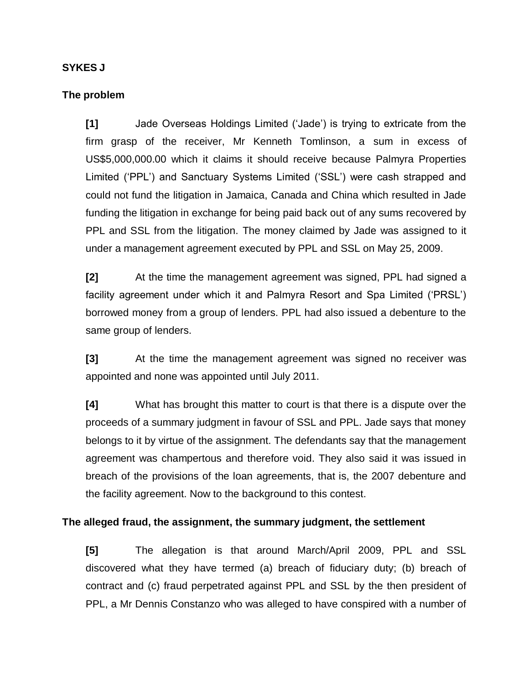## **SYKES J**

### **The problem**

**[1]** Jade Overseas Holdings Limited ('Jade') is trying to extricate from the firm grasp of the receiver, Mr Kenneth Tomlinson, a sum in excess of US\$5,000,000.00 which it claims it should receive because Palmyra Properties Limited ('PPL') and Sanctuary Systems Limited ('SSL') were cash strapped and could not fund the litigation in Jamaica, Canada and China which resulted in Jade funding the litigation in exchange for being paid back out of any sums recovered by PPL and SSL from the litigation. The money claimed by Jade was assigned to it under a management agreement executed by PPL and SSL on May 25, 2009.

**[2]** At the time the management agreement was signed, PPL had signed a facility agreement under which it and Palmyra Resort and Spa Limited ('PRSL') borrowed money from a group of lenders. PPL had also issued a debenture to the same group of lenders.

**[3]** At the time the management agreement was signed no receiver was appointed and none was appointed until July 2011.

**[4]** What has brought this matter to court is that there is a dispute over the proceeds of a summary judgment in favour of SSL and PPL. Jade says that money belongs to it by virtue of the assignment. The defendants say that the management agreement was champertous and therefore void. They also said it was issued in breach of the provisions of the loan agreements, that is, the 2007 debenture and the facility agreement. Now to the background to this contest.

### **The alleged fraud, the assignment, the summary judgment, the settlement**

**[5]** The allegation is that around March/April 2009, PPL and SSL discovered what they have termed (a) breach of fiduciary duty; (b) breach of contract and (c) fraud perpetrated against PPL and SSL by the then president of PPL, a Mr Dennis Constanzo who was alleged to have conspired with a number of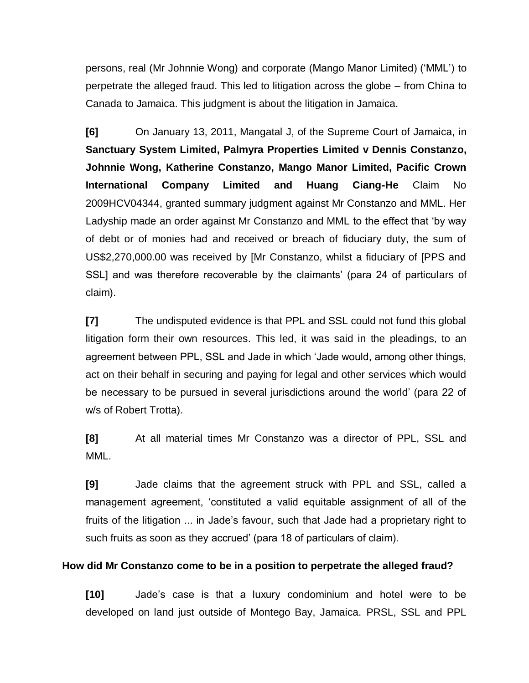persons, real (Mr Johnnie Wong) and corporate (Mango Manor Limited) ('MML') to perpetrate the alleged fraud. This led to litigation across the globe – from China to Canada to Jamaica. This judgment is about the litigation in Jamaica.

**[6]** On January 13, 2011, Mangatal J, of the Supreme Court of Jamaica, in **Sanctuary System Limited, Palmyra Properties Limited v Dennis Constanzo, Johnnie Wong, Katherine Constanzo, Mango Manor Limited, Pacific Crown International Company Limited and Huang Ciang-He** Claim No 2009HCV04344, granted summary judgment against Mr Constanzo and MML. Her Ladyship made an order against Mr Constanzo and MML to the effect that 'by way of debt or of monies had and received or breach of fiduciary duty, the sum of US\$2,270,000.00 was received by [Mr Constanzo, whilst a fiduciary of [PPS and SSL] and was therefore recoverable by the claimants' (para 24 of particulars of claim).

**[7]** The undisputed evidence is that PPL and SSL could not fund this global litigation form their own resources. This led, it was said in the pleadings, to an agreement between PPL, SSL and Jade in which 'Jade would, among other things, act on their behalf in securing and paying for legal and other services which would be necessary to be pursued in several jurisdictions around the world' (para 22 of w/s of Robert Trotta).

**[8]** At all material times Mr Constanzo was a director of PPL, SSL and MML.

**[9]** Jade claims that the agreement struck with PPL and SSL, called a management agreement, 'constituted a valid equitable assignment of all of the fruits of the litigation ... in Jade's favour, such that Jade had a proprietary right to such fruits as soon as they accrued' (para 18 of particulars of claim).

### **How did Mr Constanzo come to be in a position to perpetrate the alleged fraud?**

**[10]** Jade's case is that a luxury condominium and hotel were to be developed on land just outside of Montego Bay, Jamaica. PRSL, SSL and PPL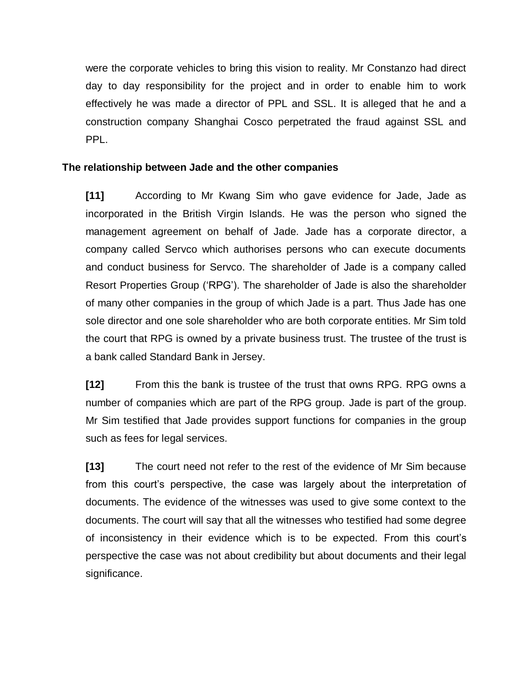were the corporate vehicles to bring this vision to reality. Mr Constanzo had direct day to day responsibility for the project and in order to enable him to work effectively he was made a director of PPL and SSL. It is alleged that he and a construction company Shanghai Cosco perpetrated the fraud against SSL and PPL.

## **The relationship between Jade and the other companies**

**[11]** According to Mr Kwang Sim who gave evidence for Jade, Jade as incorporated in the British Virgin Islands. He was the person who signed the management agreement on behalf of Jade. Jade has a corporate director, a company called Servco which authorises persons who can execute documents and conduct business for Servco. The shareholder of Jade is a company called Resort Properties Group ('RPG'). The shareholder of Jade is also the shareholder of many other companies in the group of which Jade is a part. Thus Jade has one sole director and one sole shareholder who are both corporate entities. Mr Sim told the court that RPG is owned by a private business trust. The trustee of the trust is a bank called Standard Bank in Jersey.

**[12]** From this the bank is trustee of the trust that owns RPG. RPG owns a number of companies which are part of the RPG group. Jade is part of the group. Mr Sim testified that Jade provides support functions for companies in the group such as fees for legal services.

**[13]** The court need not refer to the rest of the evidence of Mr Sim because from this court's perspective, the case was largely about the interpretation of documents. The evidence of the witnesses was used to give some context to the documents. The court will say that all the witnesses who testified had some degree of inconsistency in their evidence which is to be expected. From this court's perspective the case was not about credibility but about documents and their legal significance.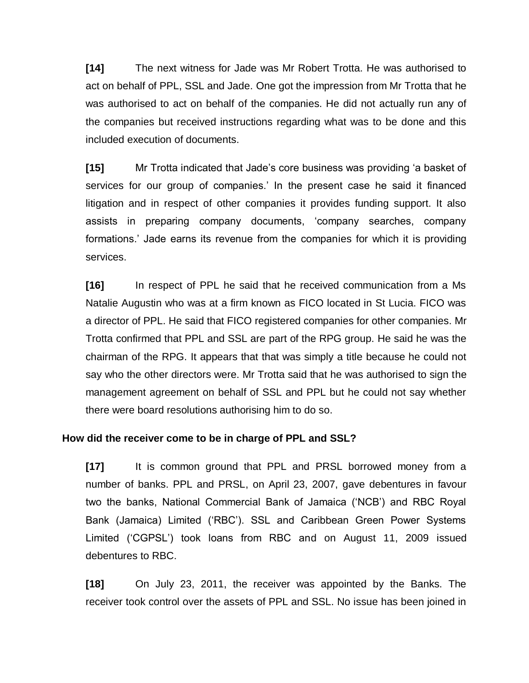**[14]** The next witness for Jade was Mr Robert Trotta. He was authorised to act on behalf of PPL, SSL and Jade. One got the impression from Mr Trotta that he was authorised to act on behalf of the companies. He did not actually run any of the companies but received instructions regarding what was to be done and this included execution of documents.

**[15]** Mr Trotta indicated that Jade's core business was providing 'a basket of services for our group of companies.' In the present case he said it financed litigation and in respect of other companies it provides funding support. It also assists in preparing company documents, 'company searches, company formations.' Jade earns its revenue from the companies for which it is providing services.

**[16]** In respect of PPL he said that he received communication from a Ms Natalie Augustin who was at a firm known as FICO located in St Lucia. FICO was a director of PPL. He said that FICO registered companies for other companies. Mr Trotta confirmed that PPL and SSL are part of the RPG group. He said he was the chairman of the RPG. It appears that that was simply a title because he could not say who the other directors were. Mr Trotta said that he was authorised to sign the management agreement on behalf of SSL and PPL but he could not say whether there were board resolutions authorising him to do so.

### **How did the receiver come to be in charge of PPL and SSL?**

**[17]** It is common ground that PPL and PRSL borrowed money from a number of banks. PPL and PRSL, on April 23, 2007, gave debentures in favour two the banks, National Commercial Bank of Jamaica ('NCB') and RBC Royal Bank (Jamaica) Limited ('RBC'). SSL and Caribbean Green Power Systems Limited ('CGPSL') took loans from RBC and on August 11, 2009 issued debentures to RBC.

**[18]** On July 23, 2011, the receiver was appointed by the Banks. The receiver took control over the assets of PPL and SSL. No issue has been joined in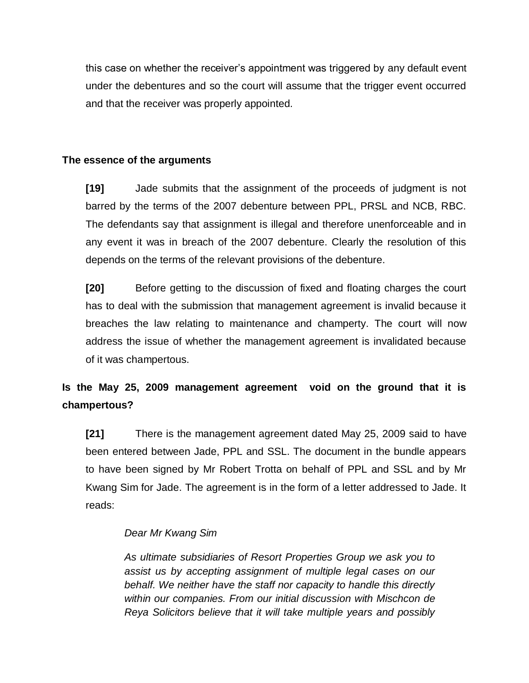this case on whether the receiver's appointment was triggered by any default event under the debentures and so the court will assume that the trigger event occurred and that the receiver was properly appointed.

# **The essence of the arguments**

**[19]** Jade submits that the assignment of the proceeds of judgment is not barred by the terms of the 2007 debenture between PPL, PRSL and NCB, RBC. The defendants say that assignment is illegal and therefore unenforceable and in any event it was in breach of the 2007 debenture. Clearly the resolution of this depends on the terms of the relevant provisions of the debenture.

**[20]** Before getting to the discussion of fixed and floating charges the court has to deal with the submission that management agreement is invalid because it breaches the law relating to maintenance and champerty. The court will now address the issue of whether the management agreement is invalidated because of it was champertous.

# **Is the May 25, 2009 management agreement void on the ground that it is champertous?**

**[21]** There is the management agreement dated May 25, 2009 said to have been entered between Jade, PPL and SSL. The document in the bundle appears to have been signed by Mr Robert Trotta on behalf of PPL and SSL and by Mr Kwang Sim for Jade. The agreement is in the form of a letter addressed to Jade. It reads:

# *Dear Mr Kwang Sim*

*As ultimate subsidiaries of Resort Properties Group we ask you to assist us by accepting assignment of multiple legal cases on our behalf. We neither have the staff nor capacity to handle this directly within our companies. From our initial discussion with Mischcon de Reya Solicitors believe that it will take multiple years and possibly*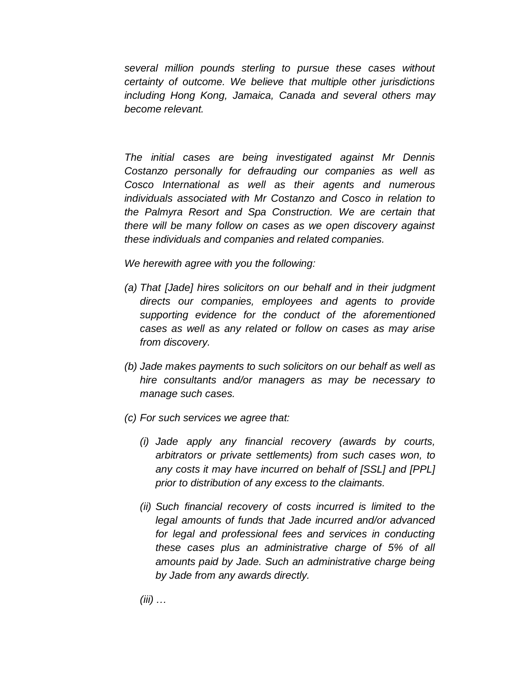*several million pounds sterling to pursue these cases without certainty of outcome. We believe that multiple other jurisdictions including Hong Kong, Jamaica, Canada and several others may become relevant.*

*The initial cases are being investigated against Mr Dennis Costanzo personally for defrauding our companies as well as Cosco International as well as their agents and numerous individuals associated with Mr Costanzo and Cosco in relation to the Palmyra Resort and Spa Construction. We are certain that there will be many follow on cases as we open discovery against these individuals and companies and related companies.* 

*We herewith agree with you the following:*

- *(a) That [Jade] hires solicitors on our behalf and in their judgment directs our companies, employees and agents to provide supporting evidence for the conduct of the aforementioned cases as well as any related or follow on cases as may arise from discovery.*
- *(b) Jade makes payments to such solicitors on our behalf as well as hire consultants and/or managers as may be necessary to manage such cases.*
- *(c) For such services we agree that:*
	- *(i) Jade apply any financial recovery (awards by courts, arbitrators or private settlements) from such cases won, to any costs it may have incurred on behalf of [SSL] and [PPL] prior to distribution of any excess to the claimants.*
	- *(ii) Such financial recovery of costs incurred is limited to the legal amounts of funds that Jade incurred and/or advanced for legal and professional fees and services in conducting these cases plus an administrative charge of 5% of all amounts paid by Jade. Such an administrative charge being by Jade from any awards directly.*

*(iii) …*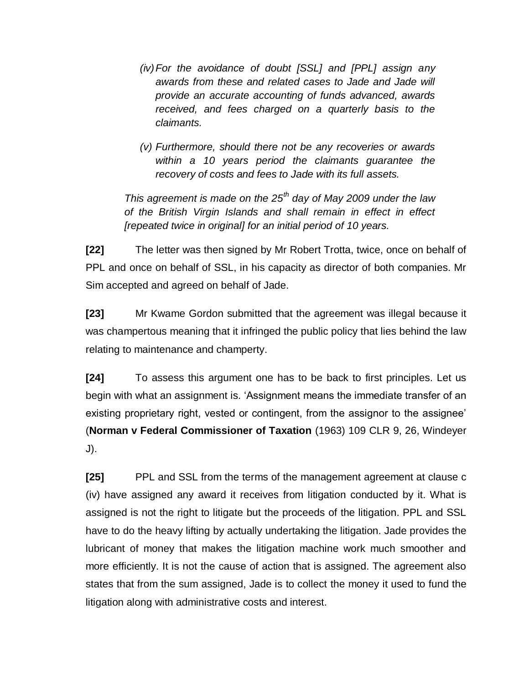- *(iv)For the avoidance of doubt [SSL] and [PPL] assign any awards from these and related cases to Jade and Jade will provide an accurate accounting of funds advanced, awards received, and fees charged on a quarterly basis to the claimants.*
- *(v) Furthermore, should there not be any recoveries or awards within a 10 years period the claimants guarantee the recovery of costs and fees to Jade with its full assets.*

*This agreement is made on the 25th day of May 2009 under the law of the British Virgin Islands and shall remain in effect in effect [repeated twice in original] for an initial period of 10 years.*

**[22]** The letter was then signed by Mr Robert Trotta, twice, once on behalf of PPL and once on behalf of SSL, in his capacity as director of both companies. Mr Sim accepted and agreed on behalf of Jade.

**[23]** Mr Kwame Gordon submitted that the agreement was illegal because it was champertous meaning that it infringed the public policy that lies behind the law relating to maintenance and champerty.

**[24]** To assess this argument one has to be back to first principles. Let us begin with what an assignment is. 'Assignment means the immediate transfer of an existing proprietary right, vested or contingent, from the assignor to the assignee' (**Norman v Federal Commissioner of Taxation** (1963) 109 CLR 9, 26, Windeyer J).

**[25]** PPL and SSL from the terms of the management agreement at clause c (iv) have assigned any award it receives from litigation conducted by it. What is assigned is not the right to litigate but the proceeds of the litigation. PPL and SSL have to do the heavy lifting by actually undertaking the litigation. Jade provides the lubricant of money that makes the litigation machine work much smoother and more efficiently. It is not the cause of action that is assigned. The agreement also states that from the sum assigned, Jade is to collect the money it used to fund the litigation along with administrative costs and interest.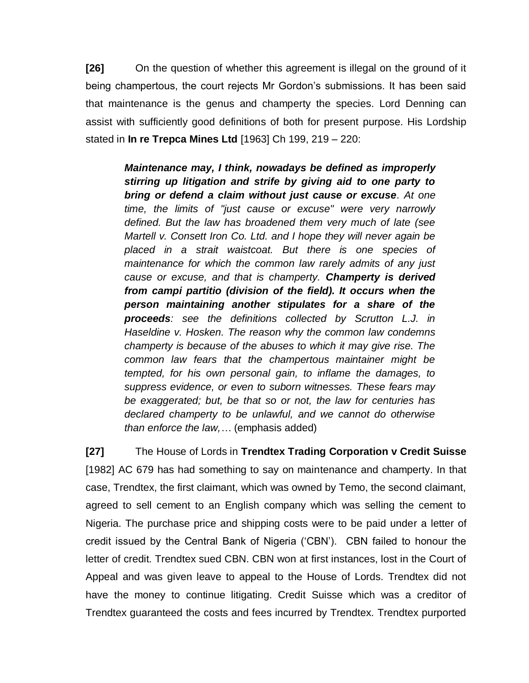**[26]** On the question of whether this agreement is illegal on the ground of it being champertous, the court rejects Mr Gordon's submissions. It has been said that maintenance is the genus and champerty the species. Lord Denning can assist with sufficiently good definitions of both for present purpose. His Lordship stated in **In re Trepca Mines Ltd** [1963] Ch 199, 219 – 220:

> *Maintenance may, I think, nowadays be defined as improperly stirring up litigation and strife by giving aid to one party to bring or defend a claim without just cause or excuse. At one time, the limits of "just cause or excuse" were very narrowly defined. But the law has broadened them very much of late (see Martell v. Consett Iron Co. Ltd. and I hope they will never again be placed in a strait waistcoat. But there is one species of maintenance for which the common law rarely admits of any just cause or excuse, and that is champerty. Champerty is derived from campi partitio (division of the field). It occurs when the person maintaining another stipulates for a share of the proceeds: see the definitions collected by Scrutton L.J. in Haseldine v. Hosken. The reason why the common law condemns champerty is because of the abuses to which it may give rise. The common law fears that the champertous maintainer might be tempted, for his own personal gain, to inflame the damages, to suppress evidence, or even to suborn witnesses. These fears may be exaggerated; but, be that so or not, the law for centuries has declared champerty to be unlawful, and we cannot do otherwise than enforce the law,…* (emphasis added)

**[27]** The House of Lords in **Trendtex Trading Corporation v Credit Suisse**  [1982] AC 679 has had something to say on maintenance and champerty. In that case, Trendtex, the first claimant, which was owned by Temo, the second claimant, agreed to sell cement to an English company which was selling the cement to Nigeria. The purchase price and shipping costs were to be paid under a letter of credit issued by the Central Bank of Nigeria ('CBN'). CBN failed to honour the letter of credit. Trendtex sued CBN. CBN won at first instances, lost in the Court of Appeal and was given leave to appeal to the House of Lords. Trendtex did not have the money to continue litigating. Credit Suisse which was a creditor of Trendtex guaranteed the costs and fees incurred by Trendtex. Trendtex purported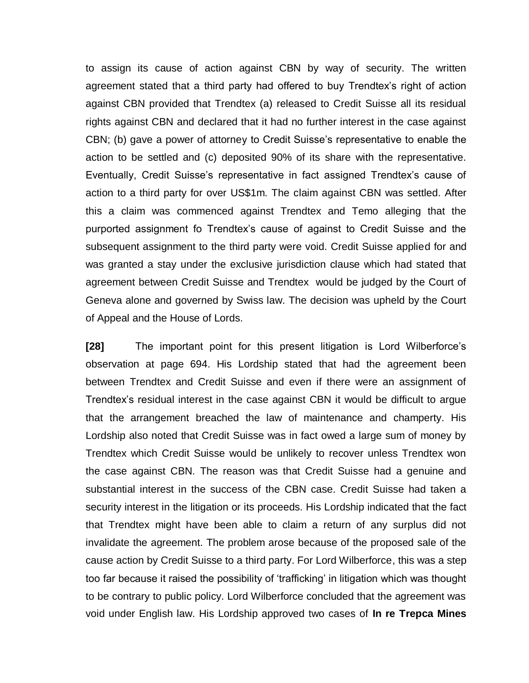to assign its cause of action against CBN by way of security. The written agreement stated that a third party had offered to buy Trendtex's right of action against CBN provided that Trendtex (a) released to Credit Suisse all its residual rights against CBN and declared that it had no further interest in the case against CBN; (b) gave a power of attorney to Credit Suisse's representative to enable the action to be settled and (c) deposited 90% of its share with the representative. Eventually, Credit Suisse's representative in fact assigned Trendtex's cause of action to a third party for over US\$1m. The claim against CBN was settled. After this a claim was commenced against Trendtex and Temo alleging that the purported assignment fo Trendtex's cause of against to Credit Suisse and the subsequent assignment to the third party were void. Credit Suisse applied for and was granted a stay under the exclusive jurisdiction clause which had stated that agreement between Credit Suisse and Trendtex would be judged by the Court of Geneva alone and governed by Swiss law. The decision was upheld by the Court of Appeal and the House of Lords.

**[28]** The important point for this present litigation is Lord Wilberforce's observation at page 694. His Lordship stated that had the agreement been between Trendtex and Credit Suisse and even if there were an assignment of Trendtex's residual interest in the case against CBN it would be difficult to argue that the arrangement breached the law of maintenance and champerty. His Lordship also noted that Credit Suisse was in fact owed a large sum of money by Trendtex which Credit Suisse would be unlikely to recover unless Trendtex won the case against CBN. The reason was that Credit Suisse had a genuine and substantial interest in the success of the CBN case. Credit Suisse had taken a security interest in the litigation or its proceeds. His Lordship indicated that the fact that Trendtex might have been able to claim a return of any surplus did not invalidate the agreement. The problem arose because of the proposed sale of the cause action by Credit Suisse to a third party. For Lord Wilberforce, this was a step too far because it raised the possibility of 'trafficking' in litigation which was thought to be contrary to public policy. Lord Wilberforce concluded that the agreement was void under English law. His Lordship approved two cases of **In re Trepca Mines**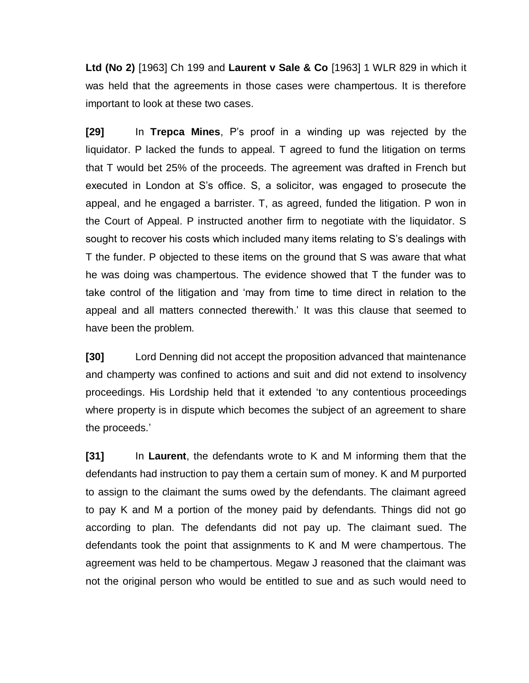**Ltd (No 2)** [1963] Ch 199 and **Laurent v Sale & Co** [1963] 1 WLR 829 in which it was held that the agreements in those cases were champertous. It is therefore important to look at these two cases.

**[29]** In **Trepca Mines**, P's proof in a winding up was rejected by the liquidator. P lacked the funds to appeal. T agreed to fund the litigation on terms that T would bet 25% of the proceeds. The agreement was drafted in French but executed in London at S's office. S, a solicitor, was engaged to prosecute the appeal, and he engaged a barrister. T, as agreed, funded the litigation. P won in the Court of Appeal. P instructed another firm to negotiate with the liquidator. S sought to recover his costs which included many items relating to S's dealings with T the funder. P objected to these items on the ground that S was aware that what he was doing was champertous. The evidence showed that T the funder was to take control of the litigation and 'may from time to time direct in relation to the appeal and all matters connected therewith.' It was this clause that seemed to have been the problem.

**[30]** Lord Denning did not accept the proposition advanced that maintenance and champerty was confined to actions and suit and did not extend to insolvency proceedings. His Lordship held that it extended 'to any contentious proceedings where property is in dispute which becomes the subject of an agreement to share the proceeds.'

**[31]** In **Laurent**, the defendants wrote to K and M informing them that the defendants had instruction to pay them a certain sum of money. K and M purported to assign to the claimant the sums owed by the defendants. The claimant agreed to pay K and M a portion of the money paid by defendants. Things did not go according to plan. The defendants did not pay up. The claimant sued. The defendants took the point that assignments to K and M were champertous. The agreement was held to be champertous. Megaw J reasoned that the claimant was not the original person who would be entitled to sue and as such would need to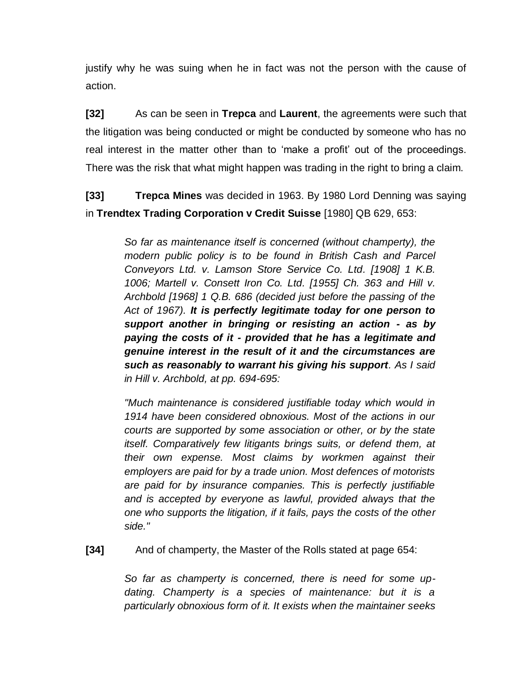justify why he was suing when he in fact was not the person with the cause of action.

**[32]** As can be seen in **Trepca** and **Laurent**, the agreements were such that the litigation was being conducted or might be conducted by someone who has no real interest in the matter other than to 'make a profit' out of the proceedings. There was the risk that what might happen was trading in the right to bring a claim.

**[33] Trepca Mines** was decided in 1963. By 1980 Lord Denning was saying in **Trendtex Trading Corporation v Credit Suisse** [1980] QB 629, 653:

> *So far as maintenance itself is concerned (without champerty), the modern public policy is to be found in British Cash and Parcel Conveyors Ltd. v. Lamson Store Service Co. Ltd. [1908] 1 K.B. 1006; Martell v. Consett Iron Co. Ltd. [1955] Ch. 363 and Hill v. Archbold [1968] 1 Q.B. 686 (decided just before the passing of the Act of 1967). It is perfectly legitimate today for one person to support another in bringing or resisting an action - as by paying the costs of it - provided that he has a legitimate and genuine interest in the result of it and the circumstances are such as reasonably to warrant his giving his support. As I said in Hill v. Archbold, at pp. 694-695:*

> *"Much maintenance is considered justifiable today which would in 1914 have been considered obnoxious. Most of the actions in our courts are supported by some association or other, or by the state itself. Comparatively few litigants brings suits, or defend them, at their own expense. Most claims by workmen against their employers are paid for by a trade union. Most defences of motorists are paid for by insurance companies. This is perfectly justifiable and is accepted by everyone as lawful, provided always that the one who supports the litigation, if it fails, pays the costs of the other side."*

**[34]** And of champerty, the Master of the Rolls stated at page 654:

*So far as champerty is concerned, there is need for some updating. Champerty is a species of maintenance: but it is a particularly obnoxious form of it. It exists when the maintainer seeks*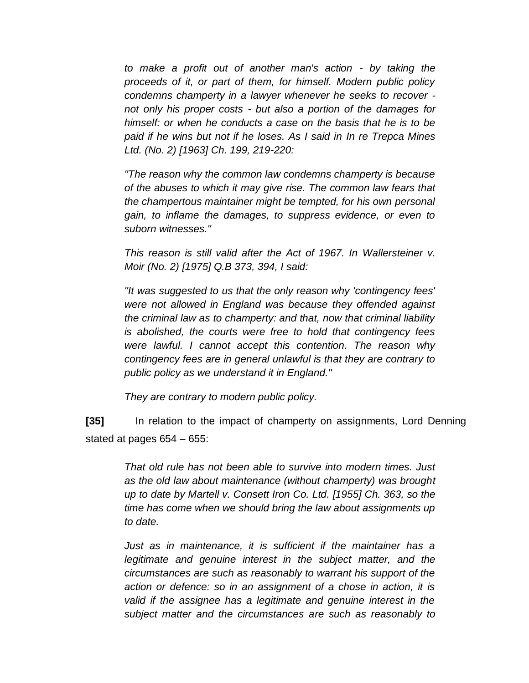*to make a profit out of another man's action - by taking the proceeds of it, or part of them, for himself. Modern public policy condemns champerty in a lawyer whenever he seeks to recover not only his proper costs - but also a portion of the damages for himself: or when he conducts a case on the basis that he is to be paid if he wins but not if he loses. As I said in In re Trepca Mines Ltd. (No. 2) [1963] Ch. 199, 219-220:*

*"The reason why the common law condemns champerty is because of the abuses to which it may give rise. The common law fears that the champertous maintainer might be tempted, for his own personal gain, to inflame the damages, to suppress evidence, or even to suborn witnesses."*

*This reason is still valid after the Act of 1967. In Wallersteiner v. Moir (No. 2) [1975] Q.B 373, 394, I said:*

*"It was suggested to us that the only reason why 'contingency fees' were not allowed in England was because they offended against the criminal law as to champerty: and that, now that criminal liability is abolished, the courts were free to hold that contingency fees were lawful. I cannot accept this contention. The reason why contingency fees are in general unlawful is that they are contrary to public policy as we understand it in England."*

*They are contrary to modern public policy.*

**[35]** In relation to the impact of champerty on assignments, Lord Denning stated at pages 654 – 655:

> *That old rule has not been able to survive into modern times. Just as the old law about maintenance (without champerty) was brought up to date by Martell v. Consett Iron Co. Ltd. [1955] Ch. 363, so the time has come when we should bring the law about assignments up to date.*

> *Just as in maintenance, it is sufficient if the maintainer has a legitimate and genuine interest in the subject matter, and the circumstances are such as reasonably to warrant his support of the action or defence: so in an assignment of a chose in action, it is valid if the assignee has a legitimate and genuine interest in the subject matter and the circumstances are such as reasonably to*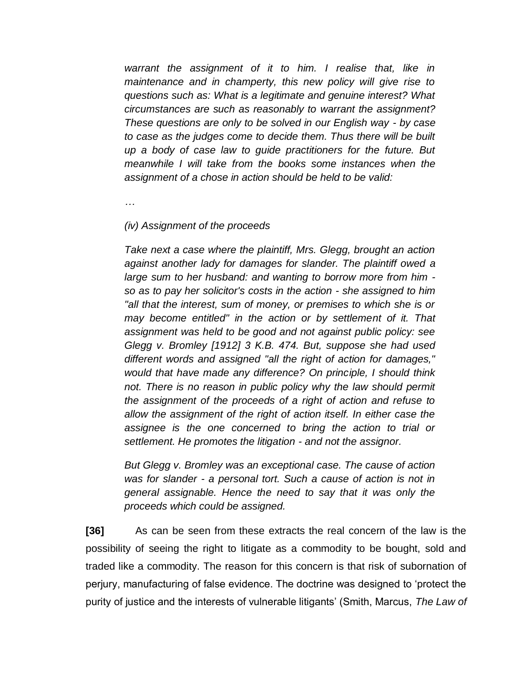*warrant the assignment of it to him. I realise that, like in maintenance and in champerty, this new policy will give rise to questions such as: What is a legitimate and genuine interest? What circumstances are such as reasonably to warrant the assignment? These questions are only to be solved in our English way - by case to case as the judges come to decide them. Thus there will be built up a body of case law to guide practitioners for the future. But meanwhile I will take from the books some instances when the assignment of a chose in action should be held to be valid:*

*…*

### *(iv) Assignment of the proceeds*

*Take next a case where the plaintiff, Mrs. Glegg, brought an action against another lady for damages for slander. The plaintiff owed a large sum to her husband: and wanting to borrow more from him so as to pay her solicitor's costs in the action - she assigned to him "all that the interest, sum of money, or premises to which she is or may become entitled" in the action or by settlement of it. That assignment was held to be good and not against public policy: see Glegg v. Bromley [1912] 3 K.B. 474. But, suppose she had used different words and assigned "all the right of action for damages," would that have made any difference? On principle, I should think*  not. There is no reason in public policy why the law should permit *the assignment of the proceeds of a right of action and refuse to allow the assignment of the right of action itself. In either case the assignee is the one concerned to bring the action to trial or settlement. He promotes the litigation - and not the assignor.*

*But Glegg v. Bromley was an exceptional case. The cause of action was for slander - a personal tort. Such a cause of action is not in general assignable. Hence the need to say that it was only the proceeds which could be assigned.*

**[36]** As can be seen from these extracts the real concern of the law is the possibility of seeing the right to litigate as a commodity to be bought, sold and traded like a commodity. The reason for this concern is that risk of subornation of perjury, manufacturing of false evidence. The doctrine was designed to 'protect the purity of justice and the interests of vulnerable litigants' (Smith, Marcus, *The Law of*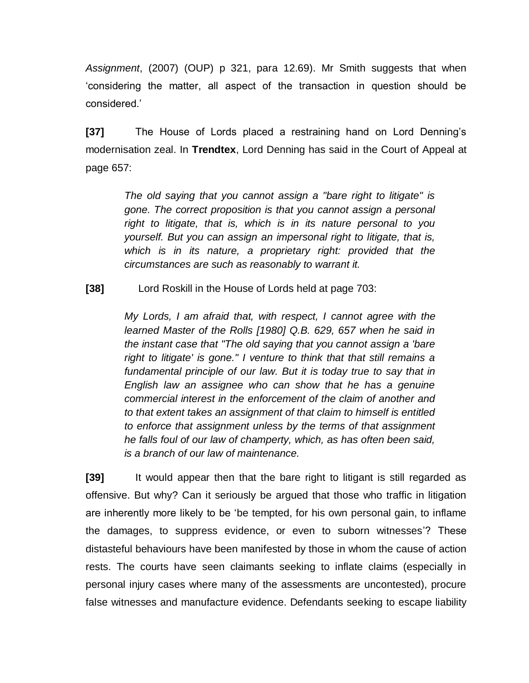*Assignment*, (2007) (OUP) p 321, para 12.69). Mr Smith suggests that when 'considering the matter, all aspect of the transaction in question should be considered.'

**[37]** The House of Lords placed a restraining hand on Lord Denning's modernisation zeal. In **Trendtex**, Lord Denning has said in the Court of Appeal at page 657:

> *The old saying that you cannot assign a "bare right to litigate" is gone. The correct proposition is that you cannot assign a personal right to litigate, that is, which is in its nature personal to you yourself. But you can assign an impersonal right to litigate, that is, which is in its nature, a proprietary right: provided that the circumstances are such as reasonably to warrant it.*

**[38]** Lord Roskill in the House of Lords held at page 703:

*My Lords, I am afraid that, with respect, I cannot agree with the learned Master of the Rolls [1980] Q.B. 629, 657 when he said in the instant case that "The old saying that you cannot assign a 'bare right to litigate' is gone." I venture to think that that still remains a*  fundamental principle of our law. But it is today true to say that in *English law an assignee who can show that he has a genuine commercial interest in the enforcement of the claim of another and to that extent takes an assignment of that claim to himself is entitled to enforce that assignment unless by the terms of that assignment he falls foul of our law of champerty, which, as has often been said, is a branch of our law of maintenance.*

**[39]** It would appear then that the bare right to litigant is still regarded as offensive. But why? Can it seriously be argued that those who traffic in litigation are inherently more likely to be 'be tempted, for his own personal gain, to inflame the damages, to suppress evidence, or even to suborn witnesses'? These distasteful behaviours have been manifested by those in whom the cause of action rests. The courts have seen claimants seeking to inflate claims (especially in personal injury cases where many of the assessments are uncontested), procure false witnesses and manufacture evidence. Defendants seeking to escape liability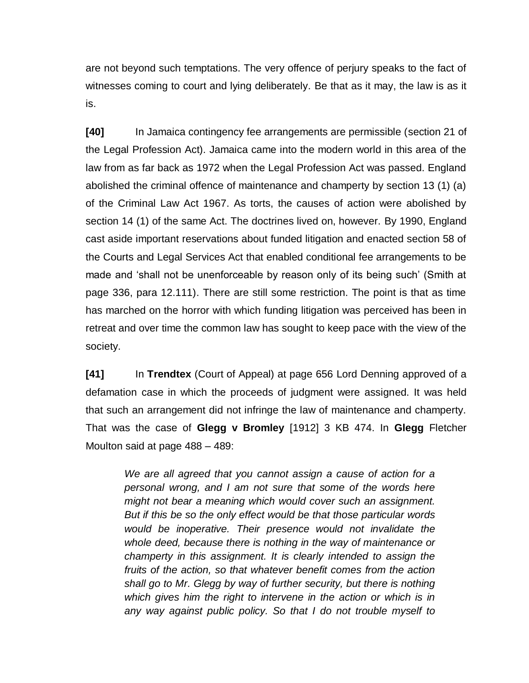are not beyond such temptations. The very offence of perjury speaks to the fact of witnesses coming to court and lying deliberately. Be that as it may, the law is as it is.

**[40]** In Jamaica contingency fee arrangements are permissible (section 21 of the Legal Profession Act). Jamaica came into the modern world in this area of the law from as far back as 1972 when the Legal Profession Act was passed. England abolished the criminal offence of maintenance and champerty by section 13 (1) (a) of the Criminal Law Act 1967. As torts, the causes of action were abolished by section 14 (1) of the same Act. The doctrines lived on, however. By 1990, England cast aside important reservations about funded litigation and enacted section 58 of the Courts and Legal Services Act that enabled conditional fee arrangements to be made and 'shall not be unenforceable by reason only of its being such' (Smith at page 336, para 12.111). There are still some restriction. The point is that as time has marched on the horror with which funding litigation was perceived has been in retreat and over time the common law has sought to keep pace with the view of the society.

**[41]** In **Trendtex** (Court of Appeal) at page 656 Lord Denning approved of a defamation case in which the proceeds of judgment were assigned. It was held that such an arrangement did not infringe the law of maintenance and champerty. That was the case of **Glegg v Bromley** [1912] 3 KB 474. In **Glegg** Fletcher Moulton said at page 488 – 489:

> *We are all agreed that you cannot assign a cause of action for a personal wrong, and I am not sure that some of the words here might not bear a meaning which would cover such an assignment. But if this be so the only effect would be that those particular words would be inoperative. Their presence would not invalidate the whole deed, because there is nothing in the way of maintenance or champerty in this assignment. It is clearly intended to assign the fruits of the action, so that whatever benefit comes from the action shall go to Mr. Glegg by way of further security, but there is nothing which gives him the right to intervene in the action or which is in any way against public policy. So that I do not trouble myself to*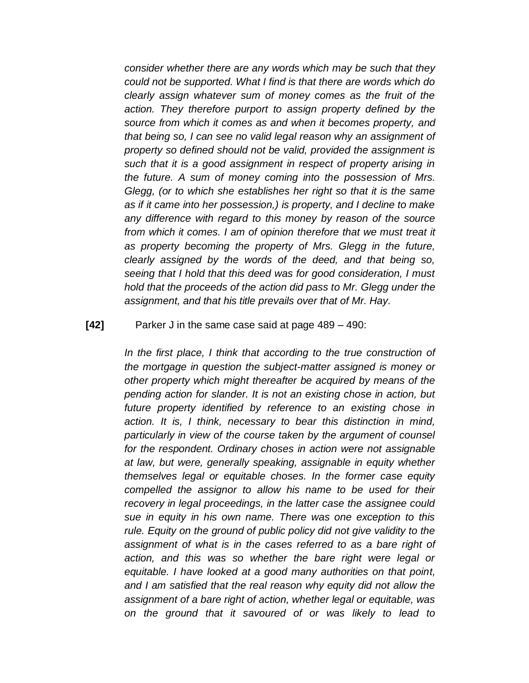*consider whether there are any words which may be such that they could not be supported. What I find is that there are words which do clearly assign whatever sum of money comes as the fruit of the action. They therefore purport to assign property defined by the source from which it comes as and when it becomes property, and that being so, I can see no valid legal reason why an assignment of property so defined should not be valid, provided the assignment is such that it is a good assignment in respect of property arising in the future. A sum of money coming into the possession of Mrs. Glegg, (or to which she establishes her right so that it is the same as if it came into her possession,) is property, and I decline to make any difference with regard to this money by reason of the source from which it comes. I am of opinion therefore that we must treat it as property becoming the property of Mrs. Glegg in the future, clearly assigned by the words of the deed, and that being so, seeing that I hold that this deed was for good consideration, I must hold that the proceeds of the action did pass to Mr. Glegg under the assignment, and that his title prevails over that of Mr. Hay.*

### **[42]** Parker J in the same case said at page 489 – 490:

*In the first place, I think that according to the true construction of the mortgage in question the subject-matter assigned is money or other property which might thereafter be acquired by means of the pending action for slander. It is not an existing chose in action, but future property identified by reference to an existing chose in action. It is, I think, necessary to bear this distinction in mind, particularly in view of the course taken by the argument of counsel for the respondent. Ordinary choses in action were not assignable at law, but were, generally speaking, assignable in equity whether themselves legal or equitable choses. In the former case equity compelled the assignor to allow his name to be used for their recovery in legal proceedings, in the latter case the assignee could sue in equity in his own name. There was one exception to this rule. Equity on the ground of public policy did not give validity to the assignment of what is in the cases referred to as a bare right of action, and this was so whether the bare right were legal or equitable. I have looked at a good many authorities on that point, and I am satisfied that the real reason why equity did not allow the assignment of a bare right of action, whether legal or equitable, was on the ground that it savoured of or was likely to lead to*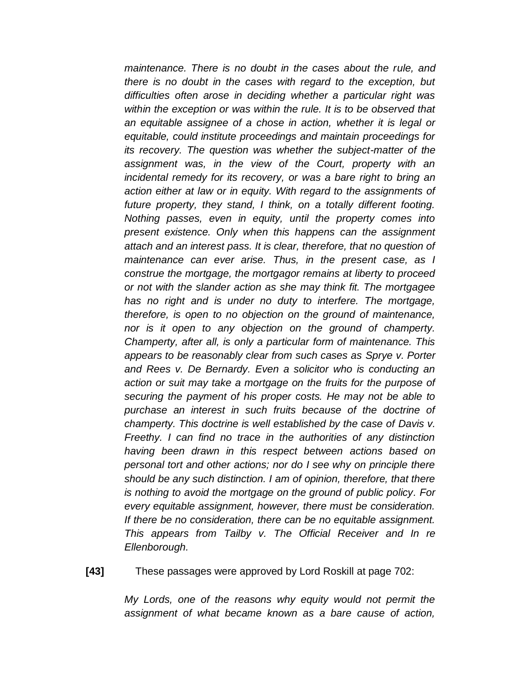*maintenance. There is no doubt in the cases about the rule, and there is no doubt in the cases with regard to the exception, but difficulties often arose in deciding whether a particular right was within the exception or was within the rule. It is to be observed that an equitable assignee of a chose in action, whether it is legal or equitable, could institute proceedings and maintain proceedings for its recovery. The question was whether the subject-matter of the assignment was, in the view of the Court, property with an incidental remedy for its recovery, or was a bare right to bring an action either at law or in equity. With regard to the assignments of future property, they stand, I think, on a totally different footing. Nothing passes, even in equity, until the property comes into present existence. Only when this happens can the assignment attach and an interest pass. It is clear, therefore, that no question of maintenance can ever arise. Thus, in the present case, as I construe the mortgage, the mortgagor remains at liberty to proceed or not with the slander action as she may think fit. The mortgagee has no right and is under no duty to interfere. The mortgage, therefore, is open to no objection on the ground of maintenance, nor is it open to any objection on the ground of champerty. Champerty, after all, is only a particular form of maintenance. This appears to be reasonably clear from such cases as Sprye v. Porter and Rees v. De Bernardy. Even a solicitor who is conducting an action or suit may take a mortgage on the fruits for the purpose of securing the payment of his proper costs. He may not be able to purchase an interest in such fruits because of the doctrine of champerty. This doctrine is well established by the case of Davis v. Freethy. I can find no trace in the authorities of any distinction having been drawn in this respect between actions based on personal tort and other actions; nor do I see why on principle there should be any such distinction. I am of opinion, therefore, that there is nothing to avoid the mortgage on the ground of public policy. For every equitable assignment, however, there must be consideration. If there be no consideration, there can be no equitable assignment. This appears from Tailby v. The Official Receiver and In re Ellenborough.*

**[43]** These passages were approved by Lord Roskill at page 702:

*My Lords, one of the reasons why equity would not permit the assignment of what became known as a bare cause of action,*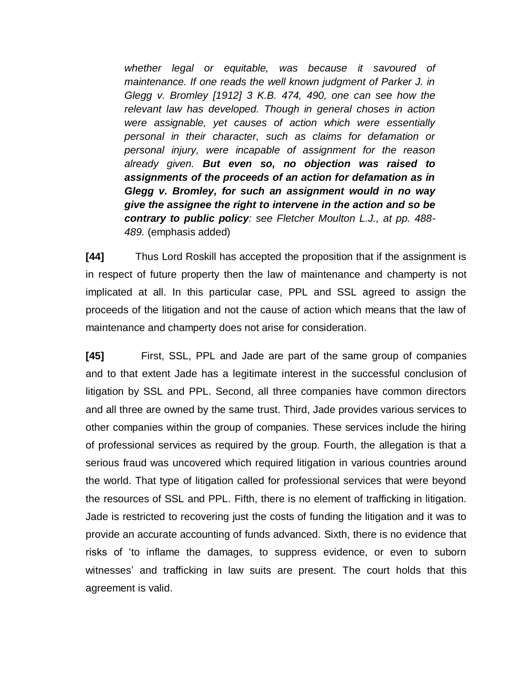*whether legal or equitable, was because it savoured of maintenance. If one reads the well known judgment of Parker J. in Glegg v. Bromley [1912] 3 K.B. 474, 490, one can see how the relevant law has developed. Though in general choses in action were assignable, yet causes of action which were essentially personal in their character, such as claims for defamation or personal injury, were incapable of assignment for the reason already given. But even so, no objection was raised to assignments of the proceeds of an action for defamation as in Glegg v. Bromley, for such an assignment would in no way give the assignee the right to intervene in the action and so be contrary to public policy: see Fletcher Moulton L.J., at pp. 488- 489.* (emphasis added)

**[44]** Thus Lord Roskill has accepted the proposition that if the assignment is in respect of future property then the law of maintenance and champerty is not implicated at all. In this particular case, PPL and SSL agreed to assign the proceeds of the litigation and not the cause of action which means that the law of maintenance and champerty does not arise for consideration.

**[45]** First, SSL, PPL and Jade are part of the same group of companies and to that extent Jade has a legitimate interest in the successful conclusion of litigation by SSL and PPL. Second, all three companies have common directors and all three are owned by the same trust. Third, Jade provides various services to other companies within the group of companies. These services include the hiring of professional services as required by the group. Fourth, the allegation is that a serious fraud was uncovered which required litigation in various countries around the world. That type of litigation called for professional services that were beyond the resources of SSL and PPL. Fifth, there is no element of trafficking in litigation. Jade is restricted to recovering just the costs of funding the litigation and it was to provide an accurate accounting of funds advanced. Sixth, there is no evidence that risks of 'to inflame the damages, to suppress evidence, or even to suborn witnesses' and trafficking in law suits are present. The court holds that this agreement is valid.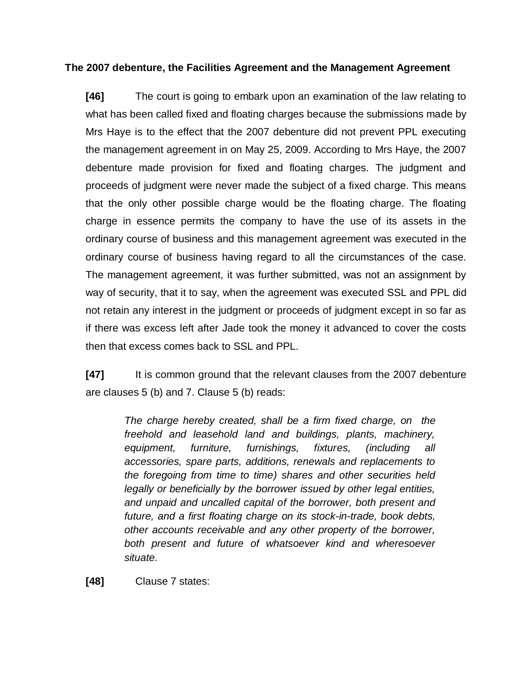# **The 2007 debenture, the Facilities Agreement and the Management Agreement**

**[46]** The court is going to embark upon an examination of the law relating to what has been called fixed and floating charges because the submissions made by Mrs Haye is to the effect that the 2007 debenture did not prevent PPL executing the management agreement in on May 25, 2009. According to Mrs Haye, the 2007 debenture made provision for fixed and floating charges. The judgment and proceeds of judgment were never made the subject of a fixed charge. This means that the only other possible charge would be the floating charge. The floating charge in essence permits the company to have the use of its assets in the ordinary course of business and this management agreement was executed in the ordinary course of business having regard to all the circumstances of the case. The management agreement, it was further submitted, was not an assignment by way of security, that it to say, when the agreement was executed SSL and PPL did not retain any interest in the judgment or proceeds of judgment except in so far as if there was excess left after Jade took the money it advanced to cover the costs then that excess comes back to SSL and PPL.

**[47]** It is common ground that the relevant clauses from the 2007 debenture are clauses 5 (b) and 7. Clause 5 (b) reads:

> *The charge hereby created, shall be a firm fixed charge, on the freehold and leasehold land and buildings, plants, machinery, equipment, furniture, furnishings, fixtures, (including all accessories, spare parts, additions, renewals and replacements to the foregoing from time to time) shares and other securities held legally or beneficially by the borrower issued by other legal entities, and unpaid and uncalled capital of the borrower, both present and future, and a first floating charge on its stock-in-trade, book debts, other accounts receivable and any other property of the borrower, both present and future of whatsoever kind and wheresoever situate.*

**[48]** Clause 7 states: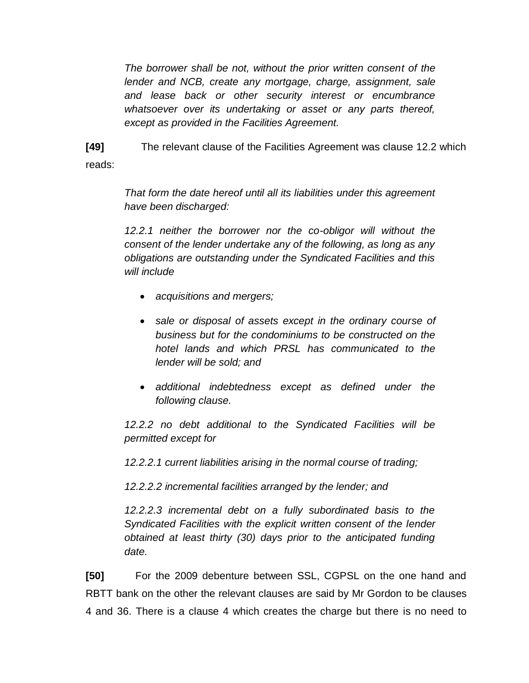*The borrower shall be not, without the prior written consent of the lender and NCB, create any mortgage, charge, assignment, sale and lease back or other security interest or encumbrance whatsoever over its undertaking or asset or any parts thereof, except as provided in the Facilities Agreement.* 

**[49]** The relevant clause of the Facilities Agreement was clause 12.2 which reads:

> *That form the date hereof until all its liabilities under this agreement have been discharged:*

> *12.2.1 neither the borrower nor the co-obligor will without the consent of the lender undertake any of the following, as long as any obligations are outstanding under the Syndicated Facilities and this will include*

- *acquisitions and mergers;*
- *sale or disposal of assets except in the ordinary course of business but for the condominiums to be constructed on the hotel lands and which PRSL has communicated to the lender will be sold; and*
- *additional indebtedness except as defined under the following clause.*

*12.2.2 no debt additional to the Syndicated Facilities will be permitted except for* 

*12.2.2.1 current liabilities arising in the normal course of trading;*

*12.2.2.2 incremental facilities arranged by the lender; and*

*12.2.2.3 incremental debt on a fully subordinated basis to the Syndicated Facilities with the explicit written consent of the lender obtained at least thirty (30) days prior to the anticipated funding date.*

**[50]** For the 2009 debenture between SSL, CGPSL on the one hand and RBTT bank on the other the relevant clauses are said by Mr Gordon to be clauses 4 and 36. There is a clause 4 which creates the charge but there is no need to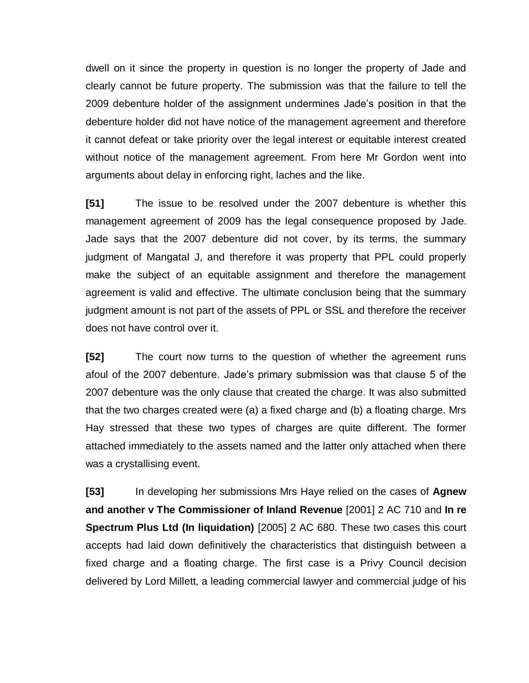dwell on it since the property in question is no longer the property of Jade and clearly cannot be future property. The submission was that the failure to tell the 2009 debenture holder of the assignment undermines Jade's position in that the debenture holder did not have notice of the management agreement and therefore it cannot defeat or take priority over the legal interest or equitable interest created without notice of the management agreement. From here Mr Gordon went into arguments about delay in enforcing right, laches and the like.

**[51]** The issue to be resolved under the 2007 debenture is whether this management agreement of 2009 has the legal consequence proposed by Jade. Jade says that the 2007 debenture did not cover, by its terms, the summary judgment of Mangatal J, and therefore it was property that PPL could properly make the subject of an equitable assignment and therefore the management agreement is valid and effective. The ultimate conclusion being that the summary judgment amount is not part of the assets of PPL or SSL and therefore the receiver does not have control over it.

**[52]** The court now turns to the question of whether the agreement runs afoul of the 2007 debenture. Jade's primary submission was that clause 5 of the 2007 debenture was the only clause that created the charge. It was also submitted that the two charges created were (a) a fixed charge and (b) a floating charge. Mrs Hay stressed that these two types of charges are quite different. The former attached immediately to the assets named and the latter only attached when there was a crystallising event.

**[53]** In developing her submissions Mrs Haye relied on the cases of **Agnew and another v The Commissioner of Inland Revenue** [2001] 2 AC 710 and **In re Spectrum Plus Ltd (In liquidation)** [2005] 2 AC 680. These two cases this court accepts had laid down definitively the characteristics that distinguish between a fixed charge and a floating charge. The first case is a Privy Council decision delivered by Lord Millett, a leading commercial lawyer and commercial judge of his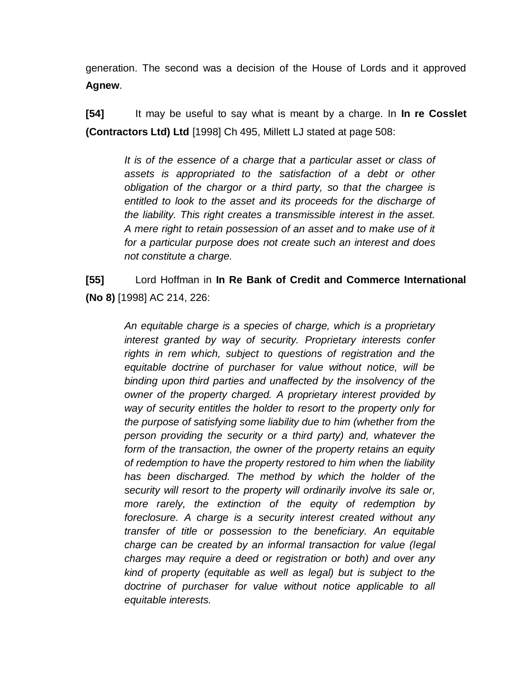generation. The second was a decision of the House of Lords and it approved **Agnew**.

**[54]** It may be useful to say what is meant by a charge. In **In re Cosslet (Contractors Ltd) Ltd** [1998] Ch 495, Millett LJ stated at page 508:

> *It is of the essence of a charge that a particular asset or class of assets is appropriated to the satisfaction of a debt or other obligation of the chargor or a third party, so that the chargee is entitled to look to the asset and its proceeds for the discharge of the liability. This right creates a transmissible interest in the asset. A mere right to retain possession of an asset and to make use of it for a particular purpose does not create such an interest and does not constitute a charge.*

**[55]** Lord Hoffman in **In Re Bank of Credit and Commerce International (No 8)** [1998] AC 214, 226:

> *An equitable charge is a species of charge, which is a proprietary interest granted by way of security. Proprietary interests confer rights in rem which, subject to questions of registration and the equitable doctrine of purchaser for value without notice, will be binding upon third parties and unaffected by the insolvency of the owner of the property charged. A proprietary interest provided by way of security entitles the holder to resort to the property only for the purpose of satisfying some liability due to him (whether from the person providing the security or a third party) and, whatever the form of the transaction, the owner of the property retains an equity of redemption to have the property restored to him when the liability has been discharged. The method by which the holder of the security will resort to the property will ordinarily involve its sale or, more rarely, the extinction of the equity of redemption by foreclosure. A charge is a security interest created without any transfer of title or possession to the beneficiary. An equitable charge can be created by an informal transaction for value (legal charges may require a deed or registration or both) and over any kind of property (equitable as well as legal) but is subject to the doctrine of purchaser for value without notice applicable to all equitable interests.*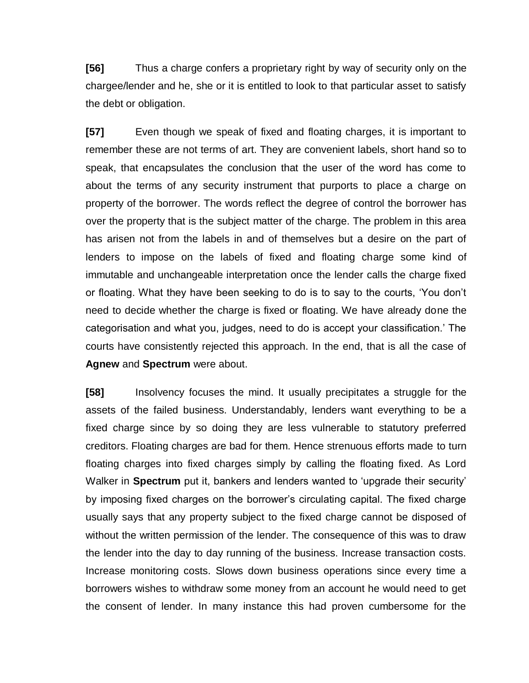**[56]** Thus a charge confers a proprietary right by way of security only on the chargee/lender and he, she or it is entitled to look to that particular asset to satisfy the debt or obligation.

**[57]** Even though we speak of fixed and floating charges, it is important to remember these are not terms of art. They are convenient labels, short hand so to speak, that encapsulates the conclusion that the user of the word has come to about the terms of any security instrument that purports to place a charge on property of the borrower. The words reflect the degree of control the borrower has over the property that is the subject matter of the charge. The problem in this area has arisen not from the labels in and of themselves but a desire on the part of lenders to impose on the labels of fixed and floating charge some kind of immutable and unchangeable interpretation once the lender calls the charge fixed or floating. What they have been seeking to do is to say to the courts, 'You don't need to decide whether the charge is fixed or floating. We have already done the categorisation and what you, judges, need to do is accept your classification.' The courts have consistently rejected this approach. In the end, that is all the case of **Agnew** and **Spectrum** were about.

**[58]** Insolvency focuses the mind. It usually precipitates a struggle for the assets of the failed business. Understandably, lenders want everything to be a fixed charge since by so doing they are less vulnerable to statutory preferred creditors. Floating charges are bad for them. Hence strenuous efforts made to turn floating charges into fixed charges simply by calling the floating fixed. As Lord Walker in **Spectrum** put it, bankers and lenders wanted to 'upgrade their security' by imposing fixed charges on the borrower's circulating capital. The fixed charge usually says that any property subject to the fixed charge cannot be disposed of without the written permission of the lender. The consequence of this was to draw the lender into the day to day running of the business. Increase transaction costs. Increase monitoring costs. Slows down business operations since every time a borrowers wishes to withdraw some money from an account he would need to get the consent of lender. In many instance this had proven cumbersome for the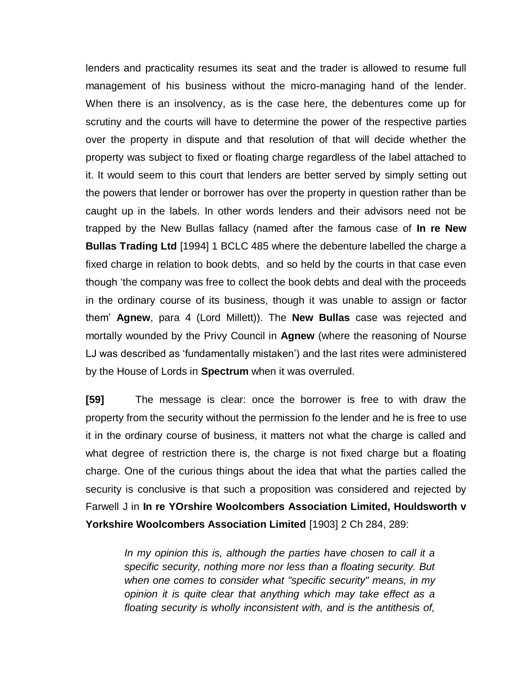lenders and practicality resumes its seat and the trader is allowed to resume full management of his business without the micro-managing hand of the lender. When there is an insolvency, as is the case here, the debentures come up for scrutiny and the courts will have to determine the power of the respective parties over the property in dispute and that resolution of that will decide whether the property was subject to fixed or floating charge regardless of the label attached to it. It would seem to this court that lenders are better served by simply setting out the powers that lender or borrower has over the property in question rather than be caught up in the labels. In other words lenders and their advisors need not be trapped by the New Bullas fallacy (named after the famous case of **In re New Bullas Trading Ltd** [1994] 1 BCLC 485 where the debenture labelled the charge a fixed charge in relation to book debts, and so held by the courts in that case even though 'the company was free to collect the book debts and deal with the proceeds in the ordinary course of its business, though it was unable to assign or factor them' **Agnew**, para 4 (Lord Millett)). The **New Bullas** case was rejected and mortally wounded by the Privy Council in **Agnew** (where the reasoning of Nourse LJ was described as 'fundamentally mistaken') and the last rites were administered by the House of Lords in **Spectrum** when it was overruled.

**[59]** The message is clear: once the borrower is free to with draw the property from the security without the permission fo the lender and he is free to use it in the ordinary course of business, it matters not what the charge is called and what degree of restriction there is, the charge is not fixed charge but a floating charge. One of the curious things about the idea that what the parties called the security is conclusive is that such a proposition was considered and rejected by Farwell J in **In re YOrshire Woolcombers Association Limited, Houldsworth v Yorkshire Woolcombers Association Limited** [1903] 2 Ch 284, 289:

> *In my opinion this is, although the parties have chosen to call it a specific security, nothing more nor less than a floating security. But when one comes to consider what "specific security" means, in my opinion it is quite clear that anything which may take effect as a floating security is wholly inconsistent with, and is the antithesis of,*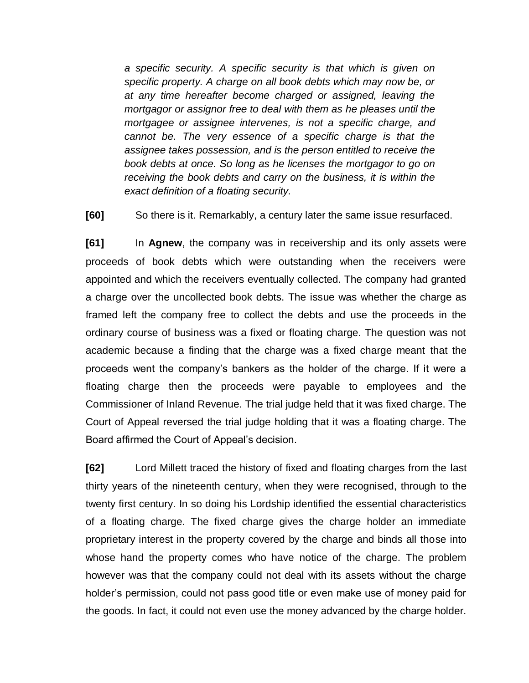*a specific security. A specific security is that which is given on specific property. A charge on all book debts which may now be, or at any time hereafter become charged or assigned, leaving the mortgagor or assignor free to deal with them as he pleases until the mortgagee or assignee intervenes, is not a specific charge, and cannot be. The very essence of a specific charge is that the assignee takes possession, and is the person entitled to receive the book debts at once. So long as he licenses the mortgagor to go on receiving the book debts and carry on the business, it is within the exact definition of a floating security.*

**[60]** So there is it. Remarkably, a century later the same issue resurfaced.

**[61]** In **Agnew**, the company was in receivership and its only assets were proceeds of book debts which were outstanding when the receivers were appointed and which the receivers eventually collected. The company had granted a charge over the uncollected book debts. The issue was whether the charge as framed left the company free to collect the debts and use the proceeds in the ordinary course of business was a fixed or floating charge. The question was not academic because a finding that the charge was a fixed charge meant that the proceeds went the company's bankers as the holder of the charge. If it were a floating charge then the proceeds were payable to employees and the Commissioner of Inland Revenue. The trial judge held that it was fixed charge. The Court of Appeal reversed the trial judge holding that it was a floating charge. The Board affirmed the Court of Appeal's decision.

**[62]** Lord Millett traced the history of fixed and floating charges from the last thirty years of the nineteenth century, when they were recognised, through to the twenty first century. In so doing his Lordship identified the essential characteristics of a floating charge. The fixed charge gives the charge holder an immediate proprietary interest in the property covered by the charge and binds all those into whose hand the property comes who have notice of the charge. The problem however was that the company could not deal with its assets without the charge holder's permission, could not pass good title or even make use of money paid for the goods. In fact, it could not even use the money advanced by the charge holder.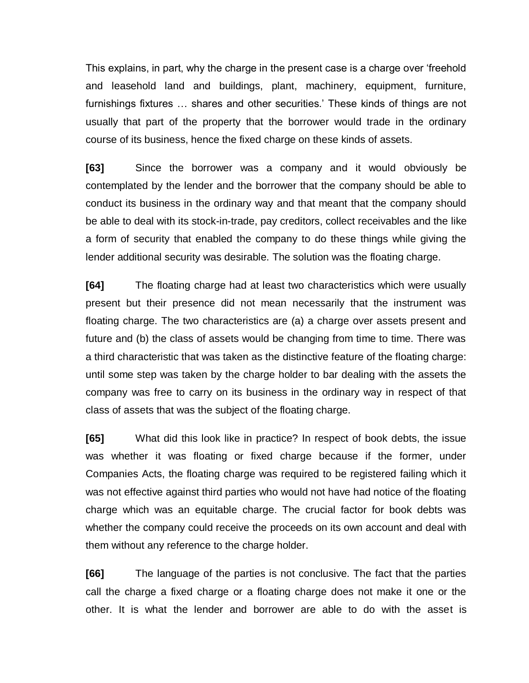This explains, in part, why the charge in the present case is a charge over 'freehold and leasehold land and buildings, plant, machinery, equipment, furniture, furnishings fixtures … shares and other securities.' These kinds of things are not usually that part of the property that the borrower would trade in the ordinary course of its business, hence the fixed charge on these kinds of assets.

**[63]** Since the borrower was a company and it would obviously be contemplated by the lender and the borrower that the company should be able to conduct its business in the ordinary way and that meant that the company should be able to deal with its stock-in-trade, pay creditors, collect receivables and the like a form of security that enabled the company to do these things while giving the lender additional security was desirable. The solution was the floating charge.

**[64]** The floating charge had at least two characteristics which were usually present but their presence did not mean necessarily that the instrument was floating charge. The two characteristics are (a) a charge over assets present and future and (b) the class of assets would be changing from time to time. There was a third characteristic that was taken as the distinctive feature of the floating charge: until some step was taken by the charge holder to bar dealing with the assets the company was free to carry on its business in the ordinary way in respect of that class of assets that was the subject of the floating charge.

**[65]** What did this look like in practice? In respect of book debts, the issue was whether it was floating or fixed charge because if the former, under Companies Acts, the floating charge was required to be registered failing which it was not effective against third parties who would not have had notice of the floating charge which was an equitable charge. The crucial factor for book debts was whether the company could receive the proceeds on its own account and deal with them without any reference to the charge holder.

**[66]** The language of the parties is not conclusive. The fact that the parties call the charge a fixed charge or a floating charge does not make it one or the other. It is what the lender and borrower are able to do with the asset is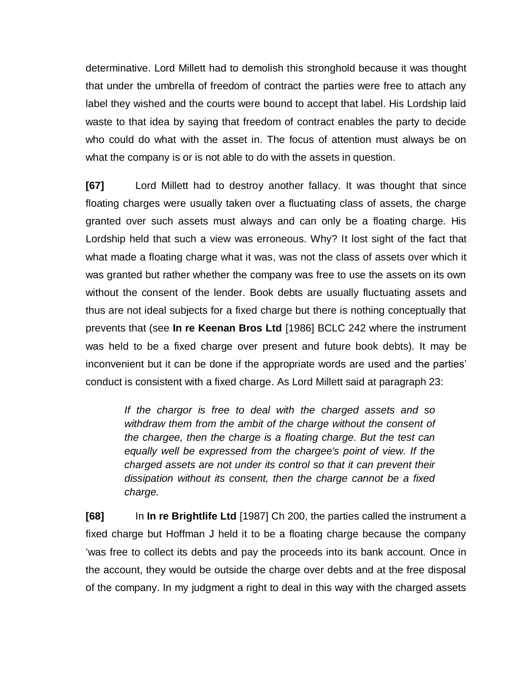determinative. Lord Millett had to demolish this stronghold because it was thought that under the umbrella of freedom of contract the parties were free to attach any label they wished and the courts were bound to accept that label. His Lordship laid waste to that idea by saying that freedom of contract enables the party to decide who could do what with the asset in. The focus of attention must always be on what the company is or is not able to do with the assets in question.

**[67]** Lord Millett had to destroy another fallacy. It was thought that since floating charges were usually taken over a fluctuating class of assets, the charge granted over such assets must always and can only be a floating charge. His Lordship held that such a view was erroneous. Why? It lost sight of the fact that what made a floating charge what it was, was not the class of assets over which it was granted but rather whether the company was free to use the assets on its own without the consent of the lender. Book debts are usually fluctuating assets and thus are not ideal subjects for a fixed charge but there is nothing conceptually that prevents that (see **In re Keenan Bros Ltd** [1986] BCLC 242 where the instrument was held to be a fixed charge over present and future book debts). It may be inconvenient but it can be done if the appropriate words are used and the parties' conduct is consistent with a fixed charge. As Lord Millett said at paragraph 23:

> *If the chargor is free to deal with the charged assets and so withdraw them from the ambit of the charge without the consent of the chargee, then the charge is a floating charge. But the test can equally well be expressed from the chargee's point of view. If the charged assets are not under its control so that it can prevent their dissipation without its consent, then the charge cannot be a fixed charge.*

**[68]** In **In re Brightlife Ltd** [1987] Ch 200, the parties called the instrument a fixed charge but Hoffman J held it to be a floating charge because the company 'was free to collect its debts and pay the proceeds into its bank account. Once in the account, they would be outside the charge over debts and at the free disposal of the company. In my judgment a right to deal in this way with the charged assets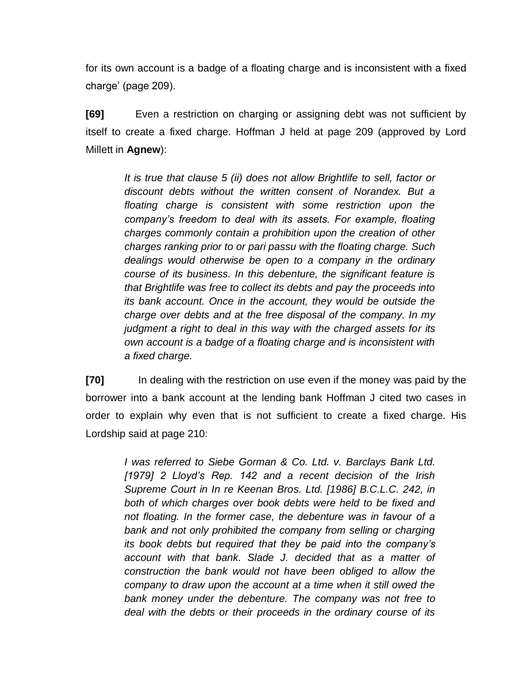for its own account is a badge of a floating charge and is inconsistent with a fixed charge' (page 209).

**[69]** Even a restriction on charging or assigning debt was not sufficient by itself to create a fixed charge. Hoffman J held at page 209 (approved by Lord Millett in **Agnew**):

> *It is true that clause 5 (ii) does not allow Brightlife to sell, factor or discount debts without the written consent of Norandex. But a floating charge is consistent with some restriction upon the company's freedom to deal with its assets. For example, floating charges commonly contain a prohibition upon the creation of other charges ranking prior to or pari passu with the floating charge. Such dealings would otherwise be open to a company in the ordinary course of its business. In this debenture, the significant feature is that Brightlife was free to collect its debts and pay the proceeds into its bank account. Once in the account, they would be outside the charge over debts and at the free disposal of the company. In my judgment a right to deal in this way with the charged assets for its own account is a badge of a floating charge and is inconsistent with a fixed charge.*

**[70]** In dealing with the restriction on use even if the money was paid by the borrower into a bank account at the lending bank Hoffman J cited two cases in order to explain why even that is not sufficient to create a fixed charge. His Lordship said at page 210:

> *I was referred to [Siebe Gorman & Co. Ltd. v. Barclays Bank Ltd.](http://www.westlaw.com/Link/Document/FullText?findType=Y&serNum=1972022978&pubNum=999&originatingDoc=I7A7757B0E42711DA8FC2A0F0355337E9&refType=UC&originationContext=document&vr=3.0&rs=cblt1.0&transitionType=DocumentItem&contextData=(sc.DocLink))  [\[1979\] 2 Lloyd's Rep. 142](http://www.westlaw.com/Link/Document/FullText?findType=Y&serNum=1972022978&pubNum=999&originatingDoc=I7A7757B0E42711DA8FC2A0F0355337E9&refType=UC&originationContext=document&vr=3.0&rs=cblt1.0&transitionType=DocumentItem&contextData=(sc.DocLink)) and a recent decision of the Irish Supreme Court in In re Keenan Bros. Ltd. [1986] B.C.L.C. 242, in both of which charges over book debts were held to be fixed and not floating. In the former case, the debenture was in favour of a*  bank and not only prohibited the company from selling or charging *its book debts but required that they be paid into the company's account with that bank. Slade J. decided that as a matter of construction the bank would not have been obliged to allow the company to draw upon the account at a time when it still owed the bank money under the debenture. The company was not free to deal with the debts or their proceeds in the ordinary course of its*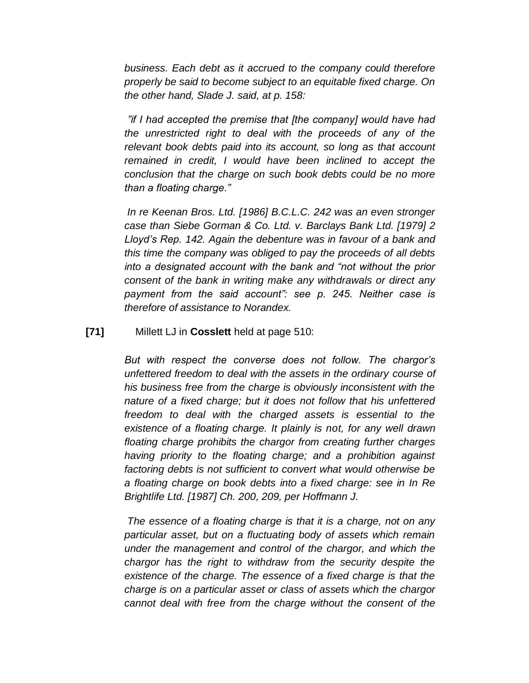*business. Each debt as it accrued to the company could therefore properly be said to become subject to an equitable fixed charge. On the other hand, Slade J. said, at p. 158:*

*"if I had accepted the premise that [the company] would have had the unrestricted right to deal with the proceeds of any of the relevant book debts paid into its account, so long as that account remained in credit, I would have been inclined to accept the conclusion that the charge on such book debts could be no more than a floating charge."*

*In re Keenan Bros. Ltd. [1986] B.C.L.C. 242 was an even stronger case than [Siebe Gorman & Co. Ltd. v. Barclays Bank Ltd. \[1979\] 2](http://www.westlaw.com/Link/Document/FullText?findType=Y&serNum=1972022978&pubNum=999&originatingDoc=I7A7757B0E42711DA8FC2A0F0355337E9&refType=UC&originationContext=document&vr=3.0&rs=cblt1.0&transitionType=DocumentItem&contextData=(sc.DocLink))  [Lloyd's Rep. 142.](http://www.westlaw.com/Link/Document/FullText?findType=Y&serNum=1972022978&pubNum=999&originatingDoc=I7A7757B0E42711DA8FC2A0F0355337E9&refType=UC&originationContext=document&vr=3.0&rs=cblt1.0&transitionType=DocumentItem&contextData=(sc.DocLink)) Again the debenture was in favour of a bank and this time the company was obliged to pay the proceeds of all debts into a designated account with the bank and "not without the prior consent of the bank in writing make any withdrawals or direct any payment from the said account": see p. 245. Neither case is therefore of assistance to Norandex.*

**[71]** Millett LJ in **Cosslett** held at page 510:

*But with respect the converse does not follow. The chargor's unfettered freedom to deal with the assets in the ordinary course of his business free from the charge is obviously inconsistent with the nature of a fixed charge; but it does not follow that his unfettered freedom to deal with the charged assets is essential to the existence of a floating charge. It plainly is not, for any well drawn floating charge prohibits the chargor from creating further charges having priority to the floating charge; and a prohibition against factoring debts is not sufficient to convert what would otherwise be a floating charge on book debts into a fixed charge: see in [In Re](http://www.westlaw.com/Link/Document/FullText?findType=Y&serNum=1986025604&pubNum=999&originatingDoc=I8EDAEAA0E42711DA8FC2A0F0355337E9&refType=UC&originationContext=document&vr=3.0&rs=cblt1.0&transitionType=DocumentItem&contextData=(sc.DocLink))  [Brightlife Ltd. \[1987\] Ch. 200,](http://www.westlaw.com/Link/Document/FullText?findType=Y&serNum=1986025604&pubNum=999&originatingDoc=I8EDAEAA0E42711DA8FC2A0F0355337E9&refType=UC&originationContext=document&vr=3.0&rs=cblt1.0&transitionType=DocumentItem&contextData=(sc.DocLink)) 209, per Hoffmann J.*

*The essence of a floating charge is that it is a charge, not on any particular asset, but on a fluctuating body of assets which remain under the management and control of the chargor, and which the chargor has the right to withdraw from the security despite the existence of the charge. The essence of a fixed charge is that the charge is on a particular asset or class of assets which the chargor cannot deal with free from the charge without the consent of the*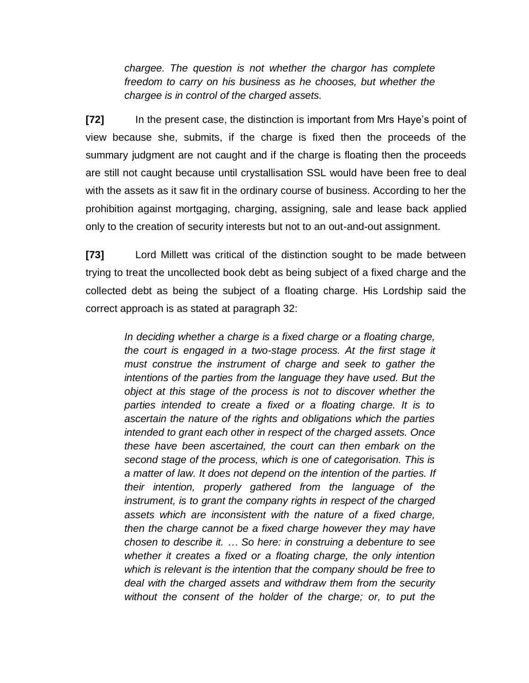*chargee. The question is not whether the chargor has complete freedom to carry on his business as he chooses, but whether the chargee is in control of the charged assets.*

**[72]** In the present case, the distinction is important from Mrs Haye's point of view because she, submits, if the charge is fixed then the proceeds of the summary judgment are not caught and if the charge is floating then the proceeds are still not caught because until crystallisation SSL would have been free to deal with the assets as it saw fit in the ordinary course of business. According to her the prohibition against mortgaging, charging, assigning, sale and lease back applied only to the creation of security interests but not to an out-and-out assignment.

**[73]** Lord Millett was critical of the distinction sought to be made between trying to treat the uncollected book debt as being subject of a fixed charge and the collected debt as being the subject of a floating charge. His Lordship said the correct approach is as stated at paragraph 32:

> *In deciding whether a charge is a fixed charge or a floating charge, the court is engaged in a two-stage process. At the first stage it must construe the instrument of charge and seek to gather the intentions of the parties from the language they have used. But the object at this stage of the process is not to discover whether the parties intended to create a fixed or a floating charge. It is to ascertain the nature of the rights and obligations which the parties intended to grant each other in respect of the charged assets. Once these have been ascertained, the court can then embark on the second stage of the process, which is one of categorisation. This is a matter of law. It does not depend on the intention of the parties. If their intention, properly gathered from the language of the instrument, is to grant the company rights in respect of the charged assets which are inconsistent with the nature of a fixed charge, then the charge cannot be a fixed charge however they may have chosen to describe it. … So here: in construing a debenture to see whether it creates a fixed or a floating charge, the only intention which is relevant is the intention that the company should be free to deal with the charged assets and withdraw them from the security without the consent of the holder of the charge; or, to put the*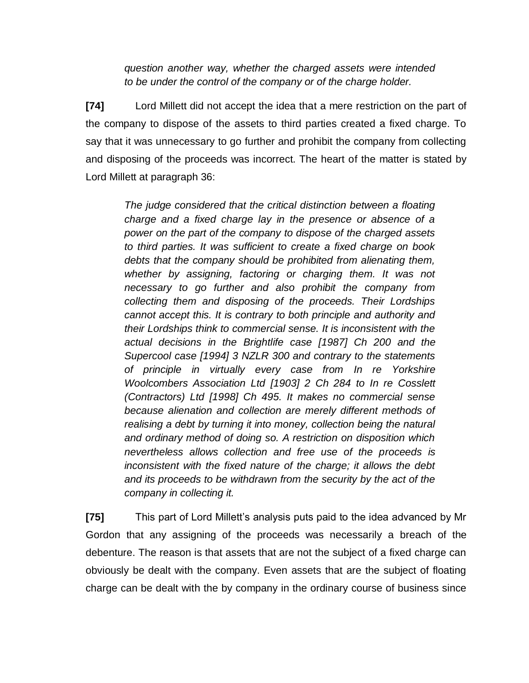*question another way, whether the charged assets were intended to be under the control of the company or of the charge holder.*

**[74]** Lord Millett did not accept the idea that a mere restriction on the part of the company to dispose of the assets to third parties created a fixed charge. To say that it was unnecessary to go further and prohibit the company from collecting and disposing of the proceeds was incorrect. The heart of the matter is stated by Lord Millett at paragraph 36:

> *The judge considered that the critical distinction between a floating charge and a fixed charge lay in the presence or absence of a power on the part of the company to dispose of the charged assets to third parties. It was sufficient to create a fixed charge on book debts that the company should be prohibited from alienating them, whether by assigning, factoring or charging them. It was not necessary to go further and also prohibit the company from collecting them and disposing of the proceeds. Their Lordships cannot accept this. It is contrary to both principle and authority and their Lordships think to commercial sense. It is inconsistent with the actual decisions in the Brightlife case [1987] Ch 200 and the Supercool case [1994] 3 NZLR 300 and contrary to the statements of principle in virtually every case from In re Yorkshire Woolcombers Association Ltd [1903] 2 Ch 284 to In re Cosslett (Contractors) Ltd [1998] Ch 495. It makes no commercial sense because alienation and collection are merely different methods of realising a debt by turning it into money, collection being the natural and ordinary method of doing so. A restriction on disposition which nevertheless allows collection and free use of the proceeds is inconsistent with the fixed nature of the charge; it allows the debt and its proceeds to be withdrawn from the security by the act of the company in collecting it.*

**[75]** This part of Lord Millett's analysis puts paid to the idea advanced by Mr Gordon that any assigning of the proceeds was necessarily a breach of the debenture. The reason is that assets that are not the subject of a fixed charge can obviously be dealt with the company. Even assets that are the subject of floating charge can be dealt with the by company in the ordinary course of business since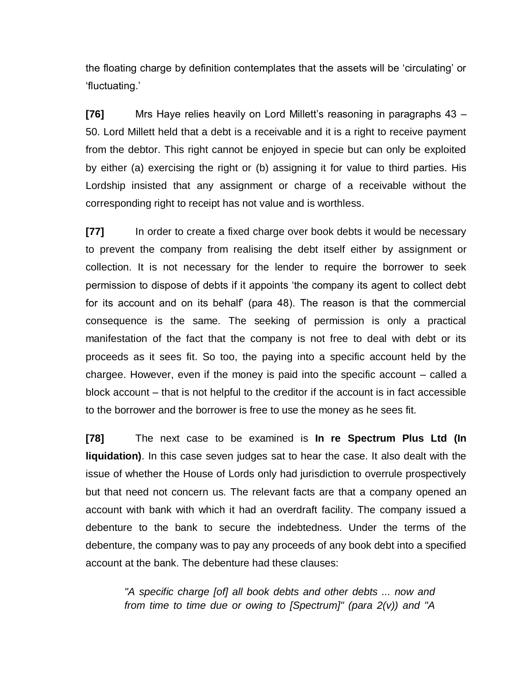the floating charge by definition contemplates that the assets will be 'circulating' or 'fluctuating.'

**[76]** Mrs Haye relies heavily on Lord Millett's reasoning in paragraphs 43 – 50. Lord Millett held that a debt is a receivable and it is a right to receive payment from the debtor. This right cannot be enjoyed in specie but can only be exploited by either (a) exercising the right or (b) assigning it for value to third parties. His Lordship insisted that any assignment or charge of a receivable without the corresponding right to receipt has not value and is worthless.

**[77]** In order to create a fixed charge over book debts it would be necessary to prevent the company from realising the debt itself either by assignment or collection. It is not necessary for the lender to require the borrower to seek permission to dispose of debts if it appoints 'the company its agent to collect debt for its account and on its behalf' (para 48). The reason is that the commercial consequence is the same. The seeking of permission is only a practical manifestation of the fact that the company is not free to deal with debt or its proceeds as it sees fit. So too, the paying into a specific account held by the chargee. However, even if the money is paid into the specific account – called a block account – that is not helpful to the creditor if the account is in fact accessible to the borrower and the borrower is free to use the money as he sees fit.

**[78]** The next case to be examined is **In re Spectrum Plus Ltd (In liquidation)**. In this case seven judges sat to hear the case. It also dealt with the issue of whether the House of Lords only had jurisdiction to overrule prospectively but that need not concern us. The relevant facts are that a company opened an account with bank with which it had an overdraft facility. The company issued a debenture to the bank to secure the indebtedness. Under the terms of the debenture, the company was to pay any proceeds of any book debt into a specified account at the bank. The debenture had these clauses:

> *"A specific charge [of] all book debts and other debts ... now and from time to time due or owing to [Spectrum]" (para 2(v)) and "A*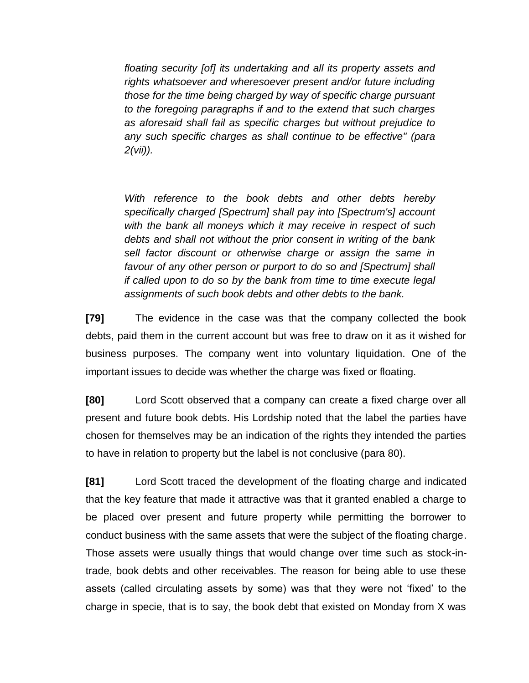*floating security [of] its undertaking and all its property assets and rights whatsoever and wheresoever present and/or future including those for the time being charged by way of specific charge pursuant to the foregoing paragraphs if and to the extend that such charges as aforesaid shall fail as specific charges but without prejudice to any such specific charges as shall continue to be effective" (para 2(vii)).*

*With reference to the book debts and other debts hereby specifically charged [Spectrum] shall pay into [Spectrum's] account with the bank all moneys which it may receive in respect of such debts and shall not without the prior consent in writing of the bank sell factor discount or otherwise charge or assign the same in favour of any other person or purport to do so and [Spectrum] shall if called upon to do so by the bank from time to time execute legal assignments of such book debts and other debts to the bank.*

**[79]** The evidence in the case was that the company collected the book debts, paid them in the current account but was free to draw on it as it wished for business purposes. The company went into voluntary liquidation. One of the important issues to decide was whether the charge was fixed or floating.

**[80]** Lord Scott observed that a company can create a fixed charge over all present and future book debts. His Lordship noted that the label the parties have chosen for themselves may be an indication of the rights they intended the parties to have in relation to property but the label is not conclusive (para 80).

**[81]** Lord Scott traced the development of the floating charge and indicated that the key feature that made it attractive was that it granted enabled a charge to be placed over present and future property while permitting the borrower to conduct business with the same assets that were the subject of the floating charge. Those assets were usually things that would change over time such as stock-intrade, book debts and other receivables. The reason for being able to use these assets (called circulating assets by some) was that they were not 'fixed' to the charge in specie, that is to say, the book debt that existed on Monday from X was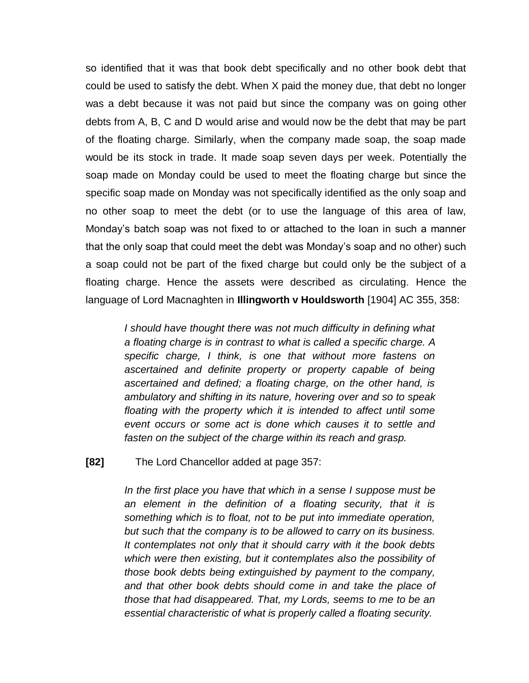so identified that it was that book debt specifically and no other book debt that could be used to satisfy the debt. When X paid the money due, that debt no longer was a debt because it was not paid but since the company was on going other debts from A, B, C and D would arise and would now be the debt that may be part of the floating charge. Similarly, when the company made soap, the soap made would be its stock in trade. It made soap seven days per week. Potentially the soap made on Monday could be used to meet the floating charge but since the specific soap made on Monday was not specifically identified as the only soap and no other soap to meet the debt (or to use the language of this area of law, Monday's batch soap was not fixed to or attached to the loan in such a manner that the only soap that could meet the debt was Monday's soap and no other) such a soap could not be part of the fixed charge but could only be the subject of a floating charge. Hence the assets were described as circulating. Hence the language of Lord Macnaghten in **Illingworth v Houldsworth** [1904] AC 355, 358:

> *I should have thought there was not much difficulty in defining what a floating charge is in contrast to what is called a specific charge. A specific charge, I think, is one that without more fastens on ascertained and definite property or property capable of being ascertained and defined; a floating charge, on the other hand, is ambulatory and shifting in its nature, hovering over and so to speak floating with the property which it is intended to affect until some event occurs or some act is done which causes it to settle and fasten on the subject of the charge within its reach and grasp.*

**[82]** The Lord Chancellor added at page 357:

*In the first place you have that which in a sense I suppose must be an element in the definition of a floating security, that it is something which is to float, not to be put into immediate operation, but such that the company is to be allowed to carry on its business. It contemplates not only that it should carry with it the book debts which were then existing, but it contemplates also the possibility of those book debts being extinguished by payment to the company, and that other book debts should come in and take the place of those that had disappeared. That, my Lords, seems to me to be an essential characteristic of what is properly called a floating security.*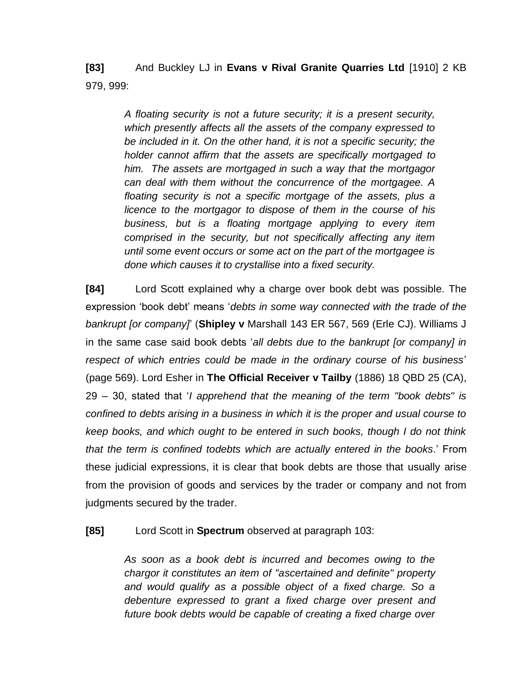**[83]** And Buckley LJ in **Evans v Rival Granite Quarries Ltd** [1910] 2 KB 979, 999:

> *A floating security is not a future security; it is a present security, which presently affects all the assets of the company expressed to be included in it. On the other hand, it is not a specific security; the holder cannot affirm that the assets are specifically mortgaged to him. The assets are mortgaged in such a way that the mortgagor can deal with them without the concurrence of the mortgagee. A floating security is not a specific mortgage of the assets, plus a licence to the mortgagor to dispose of them in the course of his business, but is a floating mortgage applying to every item comprised in the security, but not specifically affecting any item until some event occurs or some act on the part of the mortgagee is done which causes it to crystallise into a fixed security.*

**[84]** Lord Scott explained why a charge over book debt was possible. The expression 'book debt' means '*debts in some way connected with the trade of the bankrupt [or company]*' (**Shipley v** Marshall 143 ER 567, 569 (Erle CJ). Williams J in the same case said book debts '*all debts due to the bankrupt [or company] in respect of which entries could be made in the ordinary course of his business*' (page 569). Lord Esher in **The Official Receiver v Tailby** (1886) 18 QBD 25 (CA), 29 – 30, stated that '*I apprehend that the meaning of the term "book debts" is confined to debts arising in a business in which it is the proper and usual course to keep books, and which ought to be entered in such books, though I do not think that the term is confined todebts which are actually entered in the books*.' From these judicial expressions, it is clear that book debts are those that usually arise from the provision of goods and services by the trader or company and not from judgments secured by the trader.

**[85]** Lord Scott in **Spectrum** observed at paragraph 103:

*As soon as a book debt is incurred and becomes owing to the chargor it constitutes an item of "ascertained and definite" property and would qualify as a possible object of a fixed charge. So a debenture expressed to grant a fixed charge over present and future book debts would be capable of creating a fixed charge over*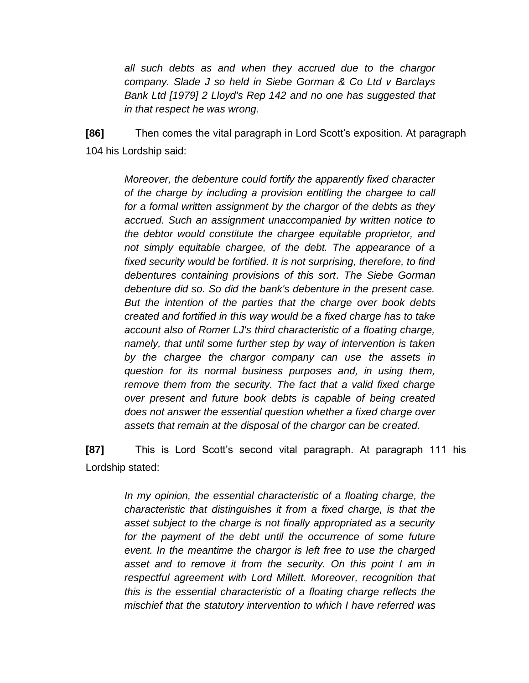*all such debts as and when they accrued due to the chargor company. Slade J so held in [Siebe Gorman & Co Ltd v Barclays](http://www.westlaw.com/Find/Default.wl?rs=dfa1.0&vr=2.0&DB=999&FindType=Y&SerialNum=1972022978)  [Bank Ltd \[1979\] 2 Lloyd's Rep 142](http://www.westlaw.com/Find/Default.wl?rs=dfa1.0&vr=2.0&DB=999&FindType=Y&SerialNum=1972022978) and no one has suggested that in that respect he was wrong.*

**[86]** Then comes the vital paragraph in Lord Scott's exposition. At paragraph 104 his Lordship said:

> *Moreover, the debenture could fortify the apparently fixed character of the charge by including a provision entitling the chargee to call for a formal written assignment by the chargor of the debts as they accrued. Such an assignment unaccompanied by written notice to the debtor would constitute the chargee equitable proprietor, and not simply equitable chargee, of the debt. The appearance of a fixed security would be fortified. It is not surprising, therefore, to find debentures containing provisions of this sort. The [Siebe Gorman](http://www.westlaw.com/Find/Default.wl?rs=dfa1.0&vr=2.0&DB=999&FindType=Y&SerialNum=1972022978) debenture did so. So did the bank's debenture in the present case. But the intention of the parties that the charge over book debts created and fortified in this way would be a fixed charge has to take account also of Romer LJ's third characteristic of a floating charge, namely, that until some further step by way of intervention is taken by the chargee the chargor company can use the assets in question for its normal business purposes and, in using them, remove them from the security. The fact that a valid fixed charge over present and future book debts is capable of being created does not answer the essential question whether a fixed charge over assets that remain at the disposal of the chargor can be created.*

**[87]** This is Lord Scott's second vital paragraph. At paragraph 111 his Lordship stated:

> *In my opinion, the essential characteristic of a floating charge, the characteristic that distinguishes it from a fixed charge, is that the asset subject to the charge is not finally appropriated as a security*  for the payment of the debt until the occurrence of some future *event. In the meantime the chargor is left free to use the charged asset and to remove it from the security. On this point I am in respectful agreement with Lord Millett. Moreover, recognition that this is the essential characteristic of a floating charge reflects the mischief that the statutory intervention to which I have referred was*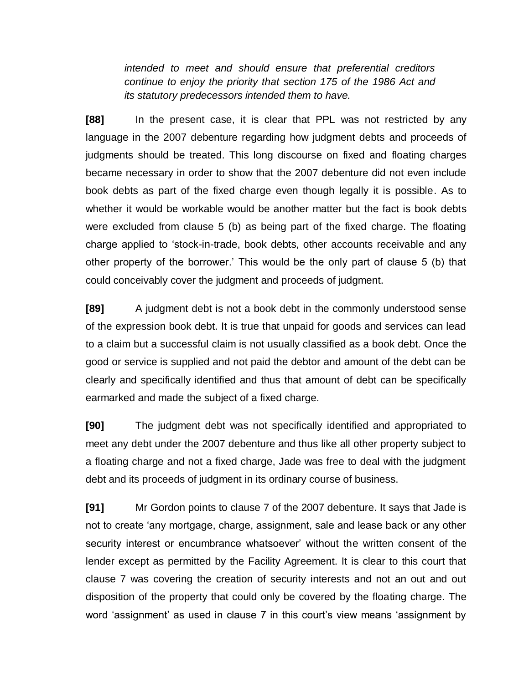*intended to meet and should ensure that preferential creditors continue to enjoy the priority that [section 175](http://www.westlaw.com/Find/Default.wl?rs=dfa1.0&vr=2.0&DB=121177&FindType=Y&SerialNum=0111053659) of the 1986 Act and its statutory predecessors intended them to have.* 

**[88]** In the present case, it is clear that PPL was not restricted by any language in the 2007 debenture regarding how judgment debts and proceeds of judgments should be treated. This long discourse on fixed and floating charges became necessary in order to show that the 2007 debenture did not even include book debts as part of the fixed charge even though legally it is possible. As to whether it would be workable would be another matter but the fact is book debts were excluded from clause 5 (b) as being part of the fixed charge. The floating charge applied to 'stock-in-trade, book debts, other accounts receivable and any other property of the borrower.' This would be the only part of clause 5 (b) that could conceivably cover the judgment and proceeds of judgment.

**[89]** A judgment debt is not a book debt in the commonly understood sense of the expression book debt. It is true that unpaid for goods and services can lead to a claim but a successful claim is not usually classified as a book debt. Once the good or service is supplied and not paid the debtor and amount of the debt can be clearly and specifically identified and thus that amount of debt can be specifically earmarked and made the subject of a fixed charge.

**[90]** The judgment debt was not specifically identified and appropriated to meet any debt under the 2007 debenture and thus like all other property subject to a floating charge and not a fixed charge, Jade was free to deal with the judgment debt and its proceeds of judgment in its ordinary course of business.

**[91]** Mr Gordon points to clause 7 of the 2007 debenture. It says that Jade is not to create 'any mortgage, charge, assignment, sale and lease back or any other security interest or encumbrance whatsoever' without the written consent of the lender except as permitted by the Facility Agreement. It is clear to this court that clause 7 was covering the creation of security interests and not an out and out disposition of the property that could only be covered by the floating charge. The word 'assignment' as used in clause 7 in this court's view means 'assignment by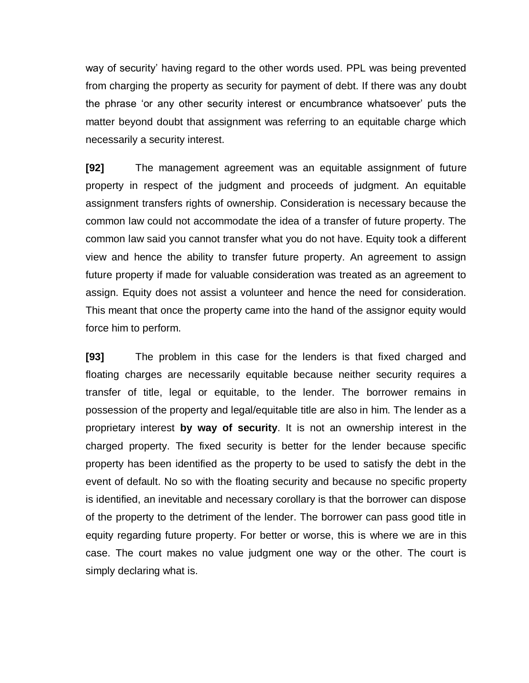way of security' having regard to the other words used. PPL was being prevented from charging the property as security for payment of debt. If there was any doubt the phrase 'or any other security interest or encumbrance whatsoever' puts the matter beyond doubt that assignment was referring to an equitable charge which necessarily a security interest.

**[92]** The management agreement was an equitable assignment of future property in respect of the judgment and proceeds of judgment. An equitable assignment transfers rights of ownership. Consideration is necessary because the common law could not accommodate the idea of a transfer of future property. The common law said you cannot transfer what you do not have. Equity took a different view and hence the ability to transfer future property. An agreement to assign future property if made for valuable consideration was treated as an agreement to assign. Equity does not assist a volunteer and hence the need for consideration. This meant that once the property came into the hand of the assignor equity would force him to perform.

**[93]** The problem in this case for the lenders is that fixed charged and floating charges are necessarily equitable because neither security requires a transfer of title, legal or equitable, to the lender. The borrower remains in possession of the property and legal/equitable title are also in him. The lender as a proprietary interest **by way of security**. It is not an ownership interest in the charged property. The fixed security is better for the lender because specific property has been identified as the property to be used to satisfy the debt in the event of default. No so with the floating security and because no specific property is identified, an inevitable and necessary corollary is that the borrower can dispose of the property to the detriment of the lender. The borrower can pass good title in equity regarding future property. For better or worse, this is where we are in this case. The court makes no value judgment one way or the other. The court is simply declaring what is.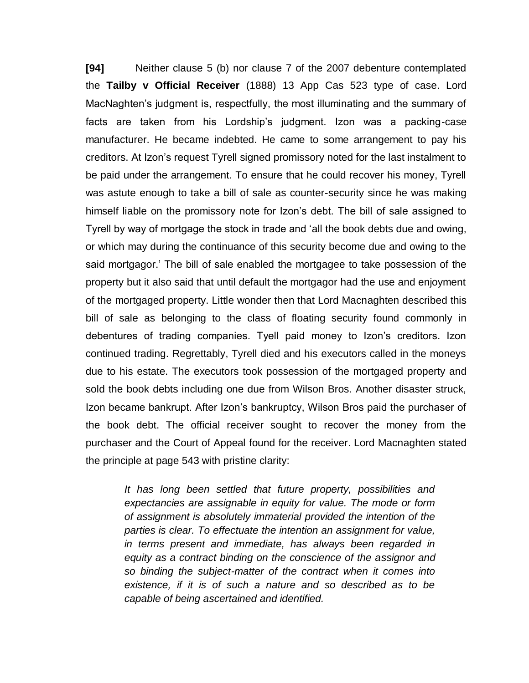**[94]** Neither clause 5 (b) nor clause 7 of the 2007 debenture contemplated the **Tailby v Official Receiver** (1888) 13 App Cas 523 type of case. Lord MacNaghten's judgment is, respectfully, the most illuminating and the summary of facts are taken from his Lordship's judgment. Izon was a packing-case manufacturer. He became indebted. He came to some arrangement to pay his creditors. At Izon's request Tyrell signed promissory noted for the last instalment to be paid under the arrangement. To ensure that he could recover his money, Tyrell was astute enough to take a bill of sale as counter-security since he was making himself liable on the promissory note for Izon's debt. The bill of sale assigned to Tyrell by way of mortgage the stock in trade and 'all the book debts due and owing, or which may during the continuance of this security become due and owing to the said mortgagor.' The bill of sale enabled the mortgagee to take possession of the property but it also said that until default the mortgagor had the use and enjoyment of the mortgaged property. Little wonder then that Lord Macnaghten described this bill of sale as belonging to the class of floating security found commonly in debentures of trading companies. Tyell paid money to Izon's creditors. Izon continued trading. Regrettably, Tyrell died and his executors called in the moneys due to his estate. The executors took possession of the mortgaged property and sold the book debts including one due from Wilson Bros. Another disaster struck, Izon became bankrupt. After Izon's bankruptcy, Wilson Bros paid the purchaser of the book debt. The official receiver sought to recover the money from the purchaser and the Court of Appeal found for the receiver. Lord Macnaghten stated the principle at page 543 with pristine clarity:

> *It has long been settled that future property, possibilities and expectancies are assignable in equity for value. The mode or form of assignment is absolutely immaterial provided the intention of the parties is clear. To effectuate the intention an assignment for value, in terms present and immediate, has always been regarded in equity as a contract binding on the conscience of the assignor and so binding the subject-matter of the contract when it comes into existence, if it is of such a nature and so described as to be capable of being ascertained and identified.*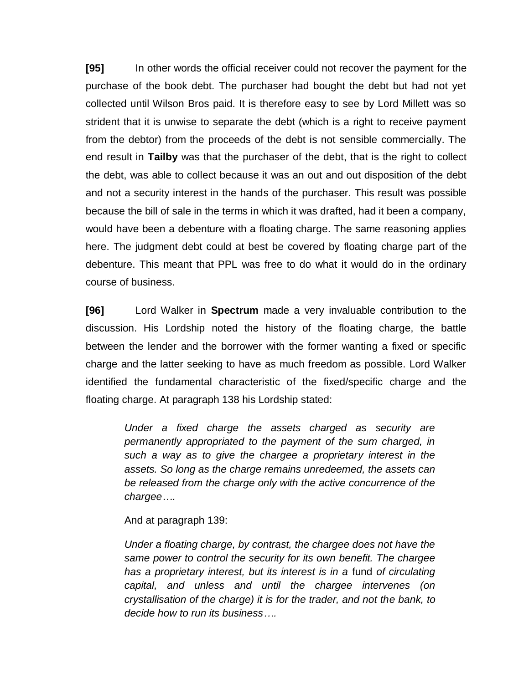**[95]** In other words the official receiver could not recover the payment for the purchase of the book debt. The purchaser had bought the debt but had not yet collected until Wilson Bros paid. It is therefore easy to see by Lord Millett was so strident that it is unwise to separate the debt (which is a right to receive payment from the debtor) from the proceeds of the debt is not sensible commercially. The end result in **Tailby** was that the purchaser of the debt, that is the right to collect the debt, was able to collect because it was an out and out disposition of the debt and not a security interest in the hands of the purchaser. This result was possible because the bill of sale in the terms in which it was drafted, had it been a company, would have been a debenture with a floating charge. The same reasoning applies here. The judgment debt could at best be covered by floating charge part of the debenture. This meant that PPL was free to do what it would do in the ordinary course of business.

**[96]** Lord Walker in **Spectrum** made a very invaluable contribution to the discussion. His Lordship noted the history of the floating charge, the battle between the lender and the borrower with the former wanting a fixed or specific charge and the latter seeking to have as much freedom as possible. Lord Walker identified the fundamental characteristic of the fixed/specific charge and the floating charge. At paragraph 138 his Lordship stated:

> *Under a fixed charge the assets charged as security are permanently appropriated to the payment of the sum charged, in such a way as to give the chargee a proprietary interest in the assets. So long as the charge remains unredeemed, the assets can be released from the charge only with the active concurrence of the chargee….*

And at paragraph 139:

*Under a floating charge, by contrast, the chargee does not have the same power to control the security for its own benefit. The chargee has a proprietary interest, but its interest is in a* fund *of circulating capital, and unless and until the chargee intervenes (on crystallisation of the charge) it is for the trader, and not the bank, to decide how to run its business….*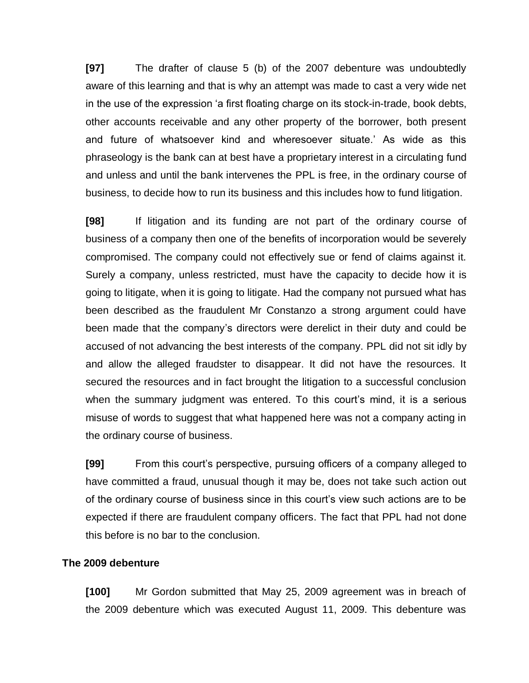**[97]** The drafter of clause 5 (b) of the 2007 debenture was undoubtedly aware of this learning and that is why an attempt was made to cast a very wide net in the use of the expression 'a first floating charge on its stock-in-trade, book debts, other accounts receivable and any other property of the borrower, both present and future of whatsoever kind and wheresoever situate.' As wide as this phraseology is the bank can at best have a proprietary interest in a circulating fund and unless and until the bank intervenes the PPL is free, in the ordinary course of business, to decide how to run its business and this includes how to fund litigation.

**[98]** If litigation and its funding are not part of the ordinary course of business of a company then one of the benefits of incorporation would be severely compromised. The company could not effectively sue or fend of claims against it. Surely a company, unless restricted, must have the capacity to decide how it is going to litigate, when it is going to litigate. Had the company not pursued what has been described as the fraudulent Mr Constanzo a strong argument could have been made that the company's directors were derelict in their duty and could be accused of not advancing the best interests of the company. PPL did not sit idly by and allow the alleged fraudster to disappear. It did not have the resources. It secured the resources and in fact brought the litigation to a successful conclusion when the summary judgment was entered. To this court's mind, it is a serious misuse of words to suggest that what happened here was not a company acting in the ordinary course of business.

**[99]** From this court's perspective, pursuing officers of a company alleged to have committed a fraud, unusual though it may be, does not take such action out of the ordinary course of business since in this court's view such actions are to be expected if there are fraudulent company officers. The fact that PPL had not done this before is no bar to the conclusion.

### **The 2009 debenture**

**[100]** Mr Gordon submitted that May 25, 2009 agreement was in breach of the 2009 debenture which was executed August 11, 2009. This debenture was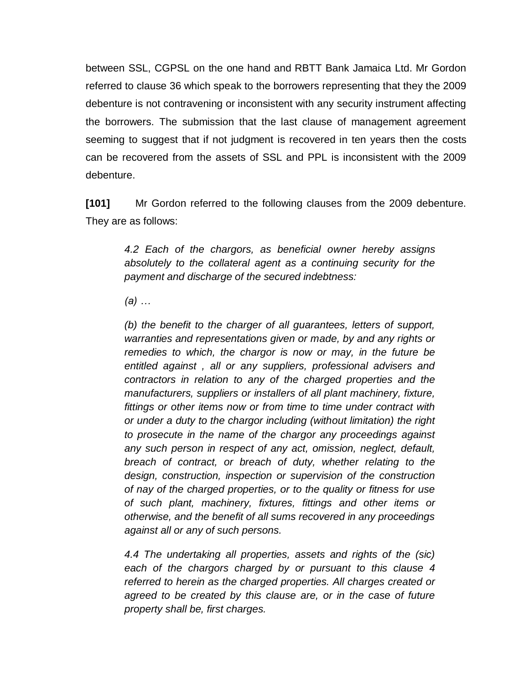between SSL, CGPSL on the one hand and RBTT Bank Jamaica Ltd. Mr Gordon referred to clause 36 which speak to the borrowers representing that they the 2009 debenture is not contravening or inconsistent with any security instrument affecting the borrowers. The submission that the last clause of management agreement seeming to suggest that if not judgment is recovered in ten years then the costs can be recovered from the assets of SSL and PPL is inconsistent with the 2009 debenture.

**[101]** Mr Gordon referred to the following clauses from the 2009 debenture. They are as follows:

> *4.2 Each of the chargors, as beneficial owner hereby assigns absolutely to the collateral agent as a continuing security for the payment and discharge of the secured indebtness:*

*(a) …*

*(b) the benefit to the charger of all guarantees, letters of support, warranties and representations given or made, by and any rights or remedies to which, the chargor is now or may, in the future be entitled against , all or any suppliers, professional advisers and contractors in relation to any of the charged properties and the manufacturers, suppliers or installers of all plant machinery, fixture, fittings or other items now or from time to time under contract with or under a duty to the chargor including (without limitation) the right to prosecute in the name of the chargor any proceedings against any such person in respect of any act, omission, neglect, default, breach of contract, or breach of duty, whether relating to the design, construction, inspection or supervision of the construction of nay of the charged properties, or to the quality or fitness for use of such plant, machinery, fixtures, fittings and other items or otherwise, and the benefit of all sums recovered in any proceedings against all or any of such persons.*

*4.4 The undertaking all properties, assets and rights of the (sic) each of the chargors charged by or pursuant to this clause 4 referred to herein as the charged properties. All charges created or agreed to be created by this clause are, or in the case of future property shall be, first charges.*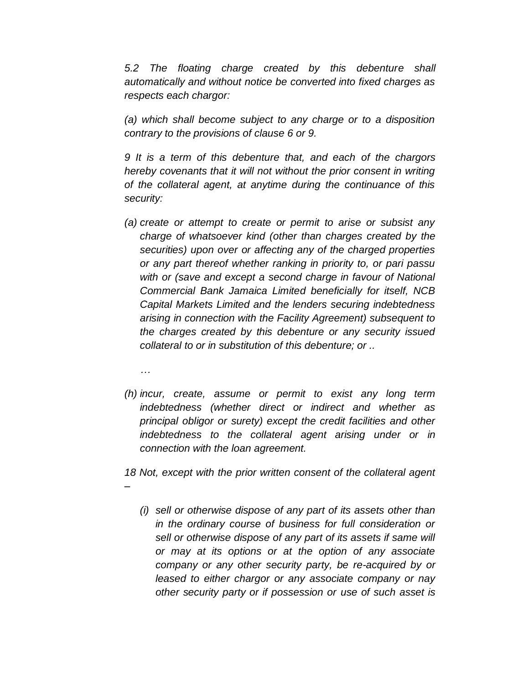*5.2 The floating charge created by this debenture shall automatically and without notice be converted into fixed charges as respects each chargor:*

*(a) which shall become subject to any charge or to a disposition contrary to the provisions of clause 6 or 9.*

*9 It is a term of this debenture that, and each of the chargors hereby covenants that it will not without the prior consent in writing of the collateral agent, at anytime during the continuance of this security:*

*(a) create or attempt to create or permit to arise or subsist any charge of whatsoever kind (other than charges created by the securities) upon over or affecting any of the charged properties or any part thereof whether ranking in priority to, or pari passu with or (save and except a second charge in favour of National Commercial Bank Jamaica Limited beneficially for itself, NCB Capital Markets Limited and the lenders securing indebtedness arising in connection with the Facility Agreement) subsequent to the charges created by this debenture or any security issued collateral to or in substitution of this debenture; or ..*

*…*

*(h) incur, create, assume or permit to exist any long term indebtedness (whether direct or indirect and whether as principal obligor or surety) except the credit facilities and other indebtedness to the collateral agent arising under or in connection with the loan agreement.*

*18 Not, except with the prior written consent of the collateral agent –*

*(i) sell or otherwise dispose of any part of its assets other than in the ordinary course of business for full consideration or sell or otherwise dispose of any part of its assets if same will or may at its options or at the option of any associate company or any other security party, be re-acquired by or leased to either chargor or any associate company or nay other security party or if possession or use of such asset is*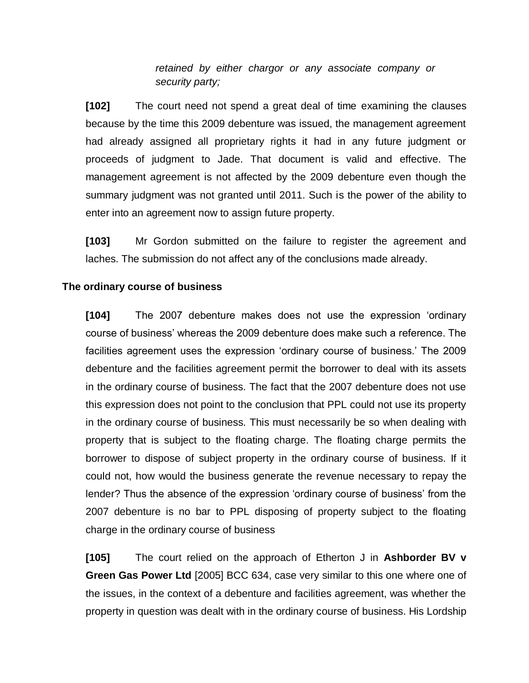*retained by either chargor or any associate company or security party;*

**[102]** The court need not spend a great deal of time examining the clauses because by the time this 2009 debenture was issued, the management agreement had already assigned all proprietary rights it had in any future judgment or proceeds of judgment to Jade. That document is valid and effective. The management agreement is not affected by the 2009 debenture even though the summary judgment was not granted until 2011. Such is the power of the ability to enter into an agreement now to assign future property.

**[103]** Mr Gordon submitted on the failure to register the agreement and laches. The submission do not affect any of the conclusions made already.

### **The ordinary course of business**

**[104]** The 2007 debenture makes does not use the expression 'ordinary course of business' whereas the 2009 debenture does make such a reference. The facilities agreement uses the expression 'ordinary course of business.' The 2009 debenture and the facilities agreement permit the borrower to deal with its assets in the ordinary course of business. The fact that the 2007 debenture does not use this expression does not point to the conclusion that PPL could not use its property in the ordinary course of business. This must necessarily be so when dealing with property that is subject to the floating charge. The floating charge permits the borrower to dispose of subject property in the ordinary course of business. If it could not, how would the business generate the revenue necessary to repay the lender? Thus the absence of the expression 'ordinary course of business' from the 2007 debenture is no bar to PPL disposing of property subject to the floating charge in the ordinary course of business

**[105]** The court relied on the approach of Etherton J in **Ashborder BV v Green Gas Power Ltd** [2005] BCC 634, case very similar to this one where one of the issues, in the context of a debenture and facilities agreement, was whether the property in question was dealt with in the ordinary course of business. His Lordship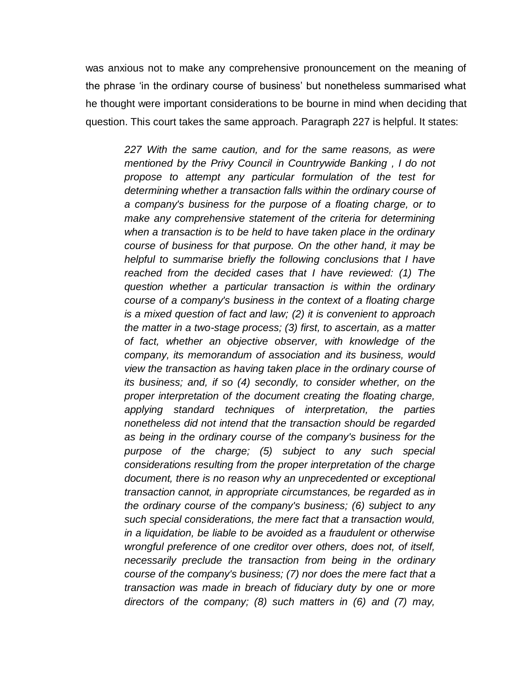was anxious not to make any comprehensive pronouncement on the meaning of the phrase 'in the ordinary course of business' but nonetheless summarised what he thought were important considerations to be bourne in mind when deciding that question. This court takes the same approach. Paragraph 227 is helpful. It states:

> *227 With the same caution, and for the same reasons, as were mentioned by the [Privy Council in Countrywide Banking](http://www.westlaw.com/Find/Default.wl?rs=dfa1.0&vr=2.0&DB=999&FindType=Y&SerialNum=1997254283) , I do not propose to attempt any particular formulation of the test for determining whether a transaction falls within the ordinary course of a company's business for the purpose of a floating charge, or to make any comprehensive statement of the criteria for determining when a transaction is to be held to have taken place in the ordinary course of business for that purpose. On the other hand, it may be helpful to summarise briefly the following conclusions that I have reached from the decided cases that I have reviewed: (1) The question whether a particular transaction is within the ordinary course of a company's business in the context of a floating charge is a mixed question of fact and law; (2) it is convenient to approach the matter in a two-stage process; (3) first, to ascertain, as a matter of fact, whether an objective observer, with knowledge of the company, its memorandum of association and its business, would view the transaction as having taken place in the ordinary course of its business; and, if so (4) secondly, to consider whether, on the proper interpretation of the document creating the floating charge, applying standard techniques of interpretation, the parties nonetheless did not intend that the transaction should be regarded as being in the ordinary course of the company's business for the purpose of the charge; (5) subject to any such special considerations resulting from the proper interpretation of the charge document, there is no reason why an unprecedented or exceptional transaction cannot, in appropriate circumstances, be regarded as in the ordinary course of the company's business; (6) subject to any such special considerations, the mere fact that a transaction would, in a liquidation, be liable to be avoided as a fraudulent or otherwise wrongful preference of one creditor over others, does not, of itself, necessarily preclude the transaction from being in the ordinary course of the company's business; (7) nor does the mere fact that a transaction was made in breach of fiduciary duty by one or more directors of the company; (8) such matters in (6) and (7) may,*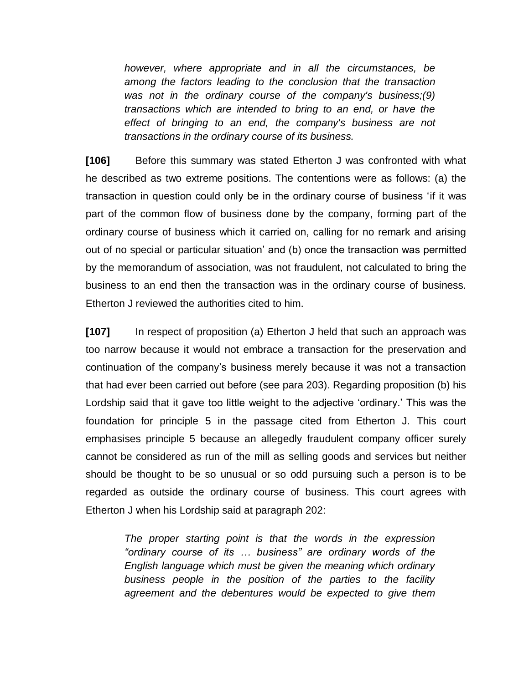*however, where appropriate and in all the circumstances, be among the factors leading to the conclusion that the transaction was not in the ordinary course of the company's business;(9) transactions which are intended to bring to an end, or have the effect of bringing to an end, the company's business are not transactions in the ordinary course of its business.* 

**[106]** Before this summary was stated Etherton J was confronted with what he described as two extreme positions. The contentions were as follows: (a) the transaction in question could only be in the ordinary course of business 'if it was part of the common flow of business done by the company, forming part of the ordinary course of business which it carried on, calling for no remark and arising out of no special or particular situation' and (b) once the transaction was permitted by the memorandum of association, was not fraudulent, not calculated to bring the business to an end then the transaction was in the ordinary course of business. Etherton J reviewed the authorities cited to him.

**[107]** In respect of proposition (a) Etherton J held that such an approach was too narrow because it would not embrace a transaction for the preservation and continuation of the company's business merely because it was not a transaction that had ever been carried out before (see para 203). Regarding proposition (b) his Lordship said that it gave too little weight to the adjective 'ordinary.' This was the foundation for principle 5 in the passage cited from Etherton J. This court emphasises principle 5 because an allegedly fraudulent company officer surely cannot be considered as run of the mill as selling goods and services but neither should be thought to be so unusual or so odd pursuing such a person is to be regarded as outside the ordinary course of business. This court agrees with Etherton J when his Lordship said at paragraph 202:

> *The proper starting point is that the words in the expression "ordinary course of its … business" are ordinary words of the English language which must be given the meaning which ordinary business people in the position of the parties to the facility agreement and the debentures would be expected to give them*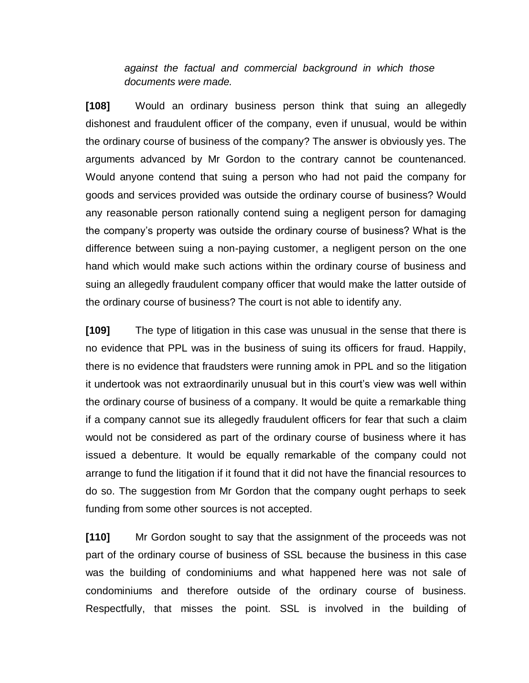*against the factual and commercial background in which those documents were made.*

**[108]** Would an ordinary business person think that suing an allegedly dishonest and fraudulent officer of the company, even if unusual, would be within the ordinary course of business of the company? The answer is obviously yes. The arguments advanced by Mr Gordon to the contrary cannot be countenanced. Would anyone contend that suing a person who had not paid the company for goods and services provided was outside the ordinary course of business? Would any reasonable person rationally contend suing a negligent person for damaging the company's property was outside the ordinary course of business? What is the difference between suing a non-paying customer, a negligent person on the one hand which would make such actions within the ordinary course of business and suing an allegedly fraudulent company officer that would make the latter outside of the ordinary course of business? The court is not able to identify any.

**[109]** The type of litigation in this case was unusual in the sense that there is no evidence that PPL was in the business of suing its officers for fraud. Happily, there is no evidence that fraudsters were running amok in PPL and so the litigation it undertook was not extraordinarily unusual but in this court's view was well within the ordinary course of business of a company. It would be quite a remarkable thing if a company cannot sue its allegedly fraudulent officers for fear that such a claim would not be considered as part of the ordinary course of business where it has issued a debenture. It would be equally remarkable of the company could not arrange to fund the litigation if it found that it did not have the financial resources to do so. The suggestion from Mr Gordon that the company ought perhaps to seek funding from some other sources is not accepted.

**[110]** Mr Gordon sought to say that the assignment of the proceeds was not part of the ordinary course of business of SSL because the business in this case was the building of condominiums and what happened here was not sale of condominiums and therefore outside of the ordinary course of business. Respectfully, that misses the point. SSL is involved in the building of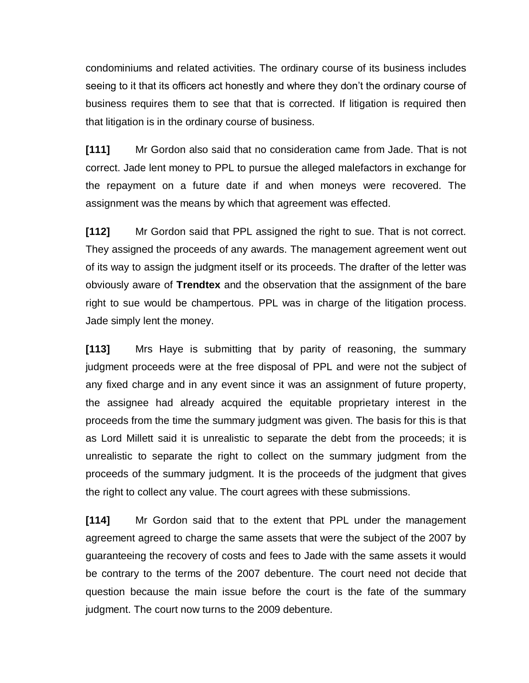condominiums and related activities. The ordinary course of its business includes seeing to it that its officers act honestly and where they don't the ordinary course of business requires them to see that that is corrected. If litigation is required then that litigation is in the ordinary course of business.

**[111]** Mr Gordon also said that no consideration came from Jade. That is not correct. Jade lent money to PPL to pursue the alleged malefactors in exchange for the repayment on a future date if and when moneys were recovered. The assignment was the means by which that agreement was effected.

**[112]** Mr Gordon said that PPL assigned the right to sue. That is not correct. They assigned the proceeds of any awards. The management agreement went out of its way to assign the judgment itself or its proceeds. The drafter of the letter was obviously aware of **Trendtex** and the observation that the assignment of the bare right to sue would be champertous. PPL was in charge of the litigation process. Jade simply lent the money.

**[113]** Mrs Haye is submitting that by parity of reasoning, the summary judgment proceeds were at the free disposal of PPL and were not the subject of any fixed charge and in any event since it was an assignment of future property, the assignee had already acquired the equitable proprietary interest in the proceeds from the time the summary judgment was given. The basis for this is that as Lord Millett said it is unrealistic to separate the debt from the proceeds; it is unrealistic to separate the right to collect on the summary judgment from the proceeds of the summary judgment. It is the proceeds of the judgment that gives the right to collect any value. The court agrees with these submissions.

**[114]** Mr Gordon said that to the extent that PPL under the management agreement agreed to charge the same assets that were the subject of the 2007 by guaranteeing the recovery of costs and fees to Jade with the same assets it would be contrary to the terms of the 2007 debenture. The court need not decide that question because the main issue before the court is the fate of the summary judgment. The court now turns to the 2009 debenture.